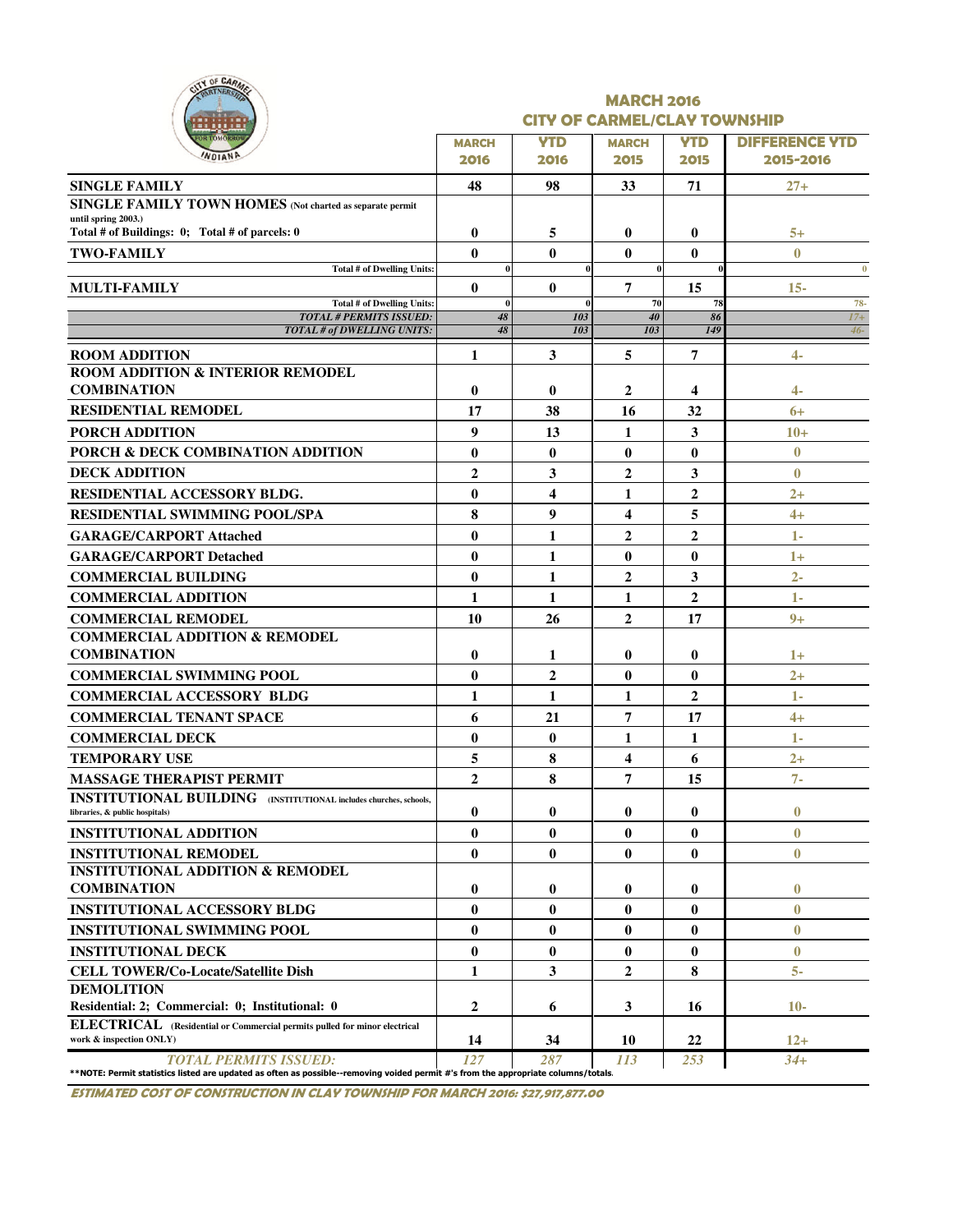| CITY OF CARM<br>RTNERSA                                                                                                                                     | <b>MARCH 2016</b><br><b>CITY OF CARMEL/CLAY TOWNSHIP</b> |                    |                         |                    |                                    |  |  |  |  |  |
|-------------------------------------------------------------------------------------------------------------------------------------------------------------|----------------------------------------------------------|--------------------|-------------------------|--------------------|------------------------------------|--|--|--|--|--|
|                                                                                                                                                             | <b>MARCH</b><br>2016                                     | <b>YTD</b><br>2016 | <b>MARCH</b><br>2015    | <b>YTD</b><br>2015 | <b>DIFFERENCE YTD</b><br>2015-2016 |  |  |  |  |  |
| <b>SINGLE FAMILY</b>                                                                                                                                        | 48                                                       | 98                 | 33                      | 71                 | $27 +$                             |  |  |  |  |  |
| SINGLE FAMILY TOWN HOMES (Not charted as separate permit                                                                                                    |                                                          |                    |                         |                    |                                    |  |  |  |  |  |
| until spring 2003.)<br>Total # of Buildings: 0; Total # of parcels: 0                                                                                       | $\bf{0}$                                                 | 5                  | $\bf{0}$                | $\bf{0}$           | $5+$                               |  |  |  |  |  |
| <b>TWO-FAMILY</b>                                                                                                                                           | $\bf{0}$                                                 | $\mathbf{0}$       | 0                       | $\bf{0}$           | $\mathbf{0}$                       |  |  |  |  |  |
| Total # of Dwelling Units:                                                                                                                                  |                                                          |                    | $\theta$                |                    | $\bf{0}$                           |  |  |  |  |  |
| <b>MULTI-FAMILY</b>                                                                                                                                         | $\mathbf{0}$                                             | $\mathbf{0}$       | 7                       | 15                 | $15 -$                             |  |  |  |  |  |
| Total # of Dwelling Units:                                                                                                                                  | $\bf{0}$                                                 |                    | 70                      | 78                 | 78-                                |  |  |  |  |  |
| <b>TOTAL # PERMITS ISSUED:</b><br>TOTAL # of DWELLING UNITS:                                                                                                | 48<br>48                                                 | 103<br>103         | 40<br>103               | 86<br>149          | $17+$<br>$46 -$                    |  |  |  |  |  |
| <b>ROOM ADDITION</b>                                                                                                                                        | 1                                                        | 3                  | 5                       | 7                  | $\overline{4}$                     |  |  |  |  |  |
| ROOM ADDITION & INTERIOR REMODEL<br><b>COMBINATION</b>                                                                                                      | $\bf{0}$                                                 | $\bf{0}$           | 2                       | 4                  | 4-                                 |  |  |  |  |  |
| <b>RESIDENTIAL REMODEL</b>                                                                                                                                  | 17                                                       | 38                 | 16                      | 32                 | $6+$                               |  |  |  |  |  |
| <b>PORCH ADDITION</b>                                                                                                                                       | 9                                                        | 13                 | 1                       | 3                  | $10+$                              |  |  |  |  |  |
| PORCH & DECK COMBINATION ADDITION                                                                                                                           | $\bf{0}$                                                 | $\bf{0}$           | $\bf{0}$                | $\bf{0}$           | $\bf{0}$                           |  |  |  |  |  |
| <b>DECK ADDITION</b>                                                                                                                                        | $\overline{2}$                                           |                    | $\overline{2}$          |                    | $\bf{0}$                           |  |  |  |  |  |
|                                                                                                                                                             |                                                          | 3                  |                         | 3                  |                                    |  |  |  |  |  |
| <b>RESIDENTIAL ACCESSORY BLDG.</b>                                                                                                                          | $\bf{0}$                                                 | 4                  | 1                       | 2                  | $2+$                               |  |  |  |  |  |
| <b>RESIDENTIAL SWIMMING POOL/SPA</b>                                                                                                                        | 8                                                        | 9                  | 4                       | 5                  | $4+$                               |  |  |  |  |  |
| <b>GARAGE/CARPORT Attached</b>                                                                                                                              | $\bf{0}$                                                 | 1                  | $\overline{2}$          | $\mathbf{2}$       | 1-                                 |  |  |  |  |  |
| <b>GARAGE/CARPORT Detached</b>                                                                                                                              | $\bf{0}$                                                 | 1                  | $\bf{0}$                | $\bf{0}$           | $1+$                               |  |  |  |  |  |
| <b>COMMERCIAL BUILDING</b>                                                                                                                                  | $\bf{0}$                                                 | 1                  | $\overline{2}$          | 3                  | $2 -$                              |  |  |  |  |  |
| <b>COMMERCIAL ADDITION</b>                                                                                                                                  | 1                                                        | $\mathbf{1}$       | 1                       | $\overline{2}$     | $1-$                               |  |  |  |  |  |
| <b>COMMERCIAL REMODEL</b>                                                                                                                                   | 10                                                       | 26                 | $\overline{2}$          | 17                 | $9+$                               |  |  |  |  |  |
| <b>COMMERCIAL ADDITION &amp; REMODEL</b><br><b>COMBINATION</b>                                                                                              | 0                                                        | 1                  | $\bf{0}$                | $\bf{0}$           | $1+$                               |  |  |  |  |  |
| <b>COMMERCIAL SWIMMING POOL</b>                                                                                                                             | $\bf{0}$                                                 | $\mathbf{2}$       | $\bf{0}$                | $\bf{0}$           | $2+$                               |  |  |  |  |  |
| <b>COMMERCIAL ACCESSORY BLDG</b>                                                                                                                            | 1                                                        | 1                  | 1                       | $\overline{2}$     | 1-                                 |  |  |  |  |  |
| <b>COMMERCIAL TENANT SPACE</b>                                                                                                                              | 6                                                        | 21                 | 7                       | 17                 | $4+$                               |  |  |  |  |  |
| <b>COMMERCIAL DECK</b>                                                                                                                                      | $\bf{0}$                                                 | $\mathbf{0}$       | 1                       | 1                  | 1-                                 |  |  |  |  |  |
| <b>TEMPORARY USE</b>                                                                                                                                        | 5                                                        | 8                  | $\overline{\mathbf{4}}$ | 6                  | $2+$                               |  |  |  |  |  |
| <b>MASSAGE THERAPIST PERMIT</b>                                                                                                                             | 2                                                        | 8                  | 7                       | 15                 | $7 -$                              |  |  |  |  |  |
| <b>INSTITUTIONAL BUILDING</b> (INSTITUTIONAL includes churches, schools,<br>libraries, & public hospitals)                                                  | $\bf{0}$                                                 | 0                  | 0                       | $\bf{0}$           | $\bf{0}$                           |  |  |  |  |  |
| <b>INSTITUTIONAL ADDITION</b>                                                                                                                               | $\bf{0}$                                                 | $\bf{0}$           | $\bf{0}$                | $\bf{0}$           | $\bf{0}$                           |  |  |  |  |  |
| <b>INSTITUTIONAL REMODEL</b>                                                                                                                                | $\bf{0}$                                                 | $\bf{0}$           | $\bf{0}$                | $\bf{0}$           | $\bf{0}$                           |  |  |  |  |  |
| <b>INSTITUTIONAL ADDITION &amp; REMODEL</b><br><b>COMBINATION</b>                                                                                           | $\bf{0}$                                                 | $\bf{0}$           | $\bf{0}$                | $\bf{0}$           | $\bf{0}$                           |  |  |  |  |  |
| <b>INSTITUTIONAL ACCESSORY BLDG</b>                                                                                                                         | $\bf{0}$                                                 | $\bf{0}$           | $\bf{0}$                | $\bf{0}$           | $\bf{0}$                           |  |  |  |  |  |
| <b>INSTITUTIONAL SWIMMING POOL</b>                                                                                                                          | $\bf{0}$                                                 | $\bf{0}$           | $\bf{0}$                | $\bf{0}$           | $\bf{0}$                           |  |  |  |  |  |
| <b>INSTITUTIONAL DECK</b>                                                                                                                                   | $\bf{0}$                                                 | $\bf{0}$           | $\bf{0}$                | $\bf{0}$           | $\bf{0}$                           |  |  |  |  |  |
| <b>CELL TOWER/Co-Locate/Satellite Dish</b>                                                                                                                  | 1                                                        | 3                  | $\overline{2}$          | 8                  | 5-                                 |  |  |  |  |  |
| <b>DEMOLITION</b>                                                                                                                                           |                                                          |                    |                         |                    |                                    |  |  |  |  |  |
| Residential: 2; Commercial: 0; Institutional: 0                                                                                                             | $\mathbf 2$                                              | 6                  | 3                       | 16                 | $10-$                              |  |  |  |  |  |
| ELECTRICAL (Residential or Commercial permits pulled for minor electrical<br>work & inspection ONLY)                                                        | 14                                                       | 34                 | 10                      | 22                 | $12+$                              |  |  |  |  |  |
| TOTAL PERMITS ISSUED:<br>**NOTE: Permit statistics listed are updated as often as possible--removing voided permit #'s from the appropriate columns/totals. | 127                                                      | 287                | 113                     | 253                | $34+$                              |  |  |  |  |  |

ESTIMATED COST OF CONSTRUCTION IN CLAY TOWNSHIP FOR MARCH 2016: \$27,917,877.00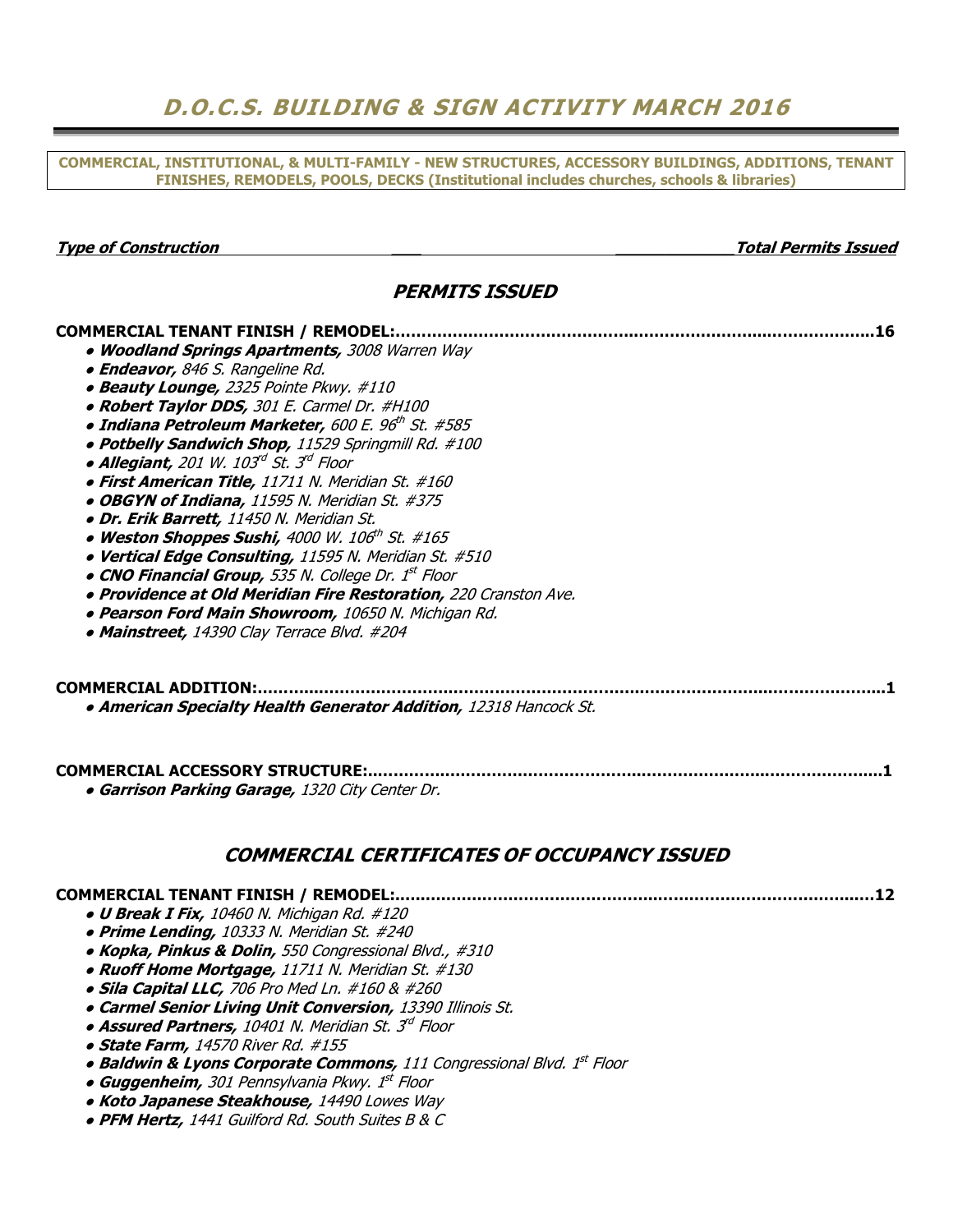## D.O.C.S. BUILDING & SIGN ACTIVITY MARCH 2016

COMMERCIAL, INSTITUTIONAL, & MULTI-FAMILY - NEW STRUCTURES, ACCESSORY BUILDINGS, ADDITIONS, TENANT FINISHES, REMODELS, POOLS, DECKS (Institutional includes churches, schools & libraries)

Type of Construction and the construction of Construction and the construction of  $\alpha$  and  $\alpha$  and  $\alpha$  and  $\alpha$  and  $\alpha$  and  $\alpha$  and  $\alpha$  and  $\alpha$  and  $\alpha$  and  $\alpha$  and  $\alpha$  and  $\alpha$  and  $\alpha$  and  $\alpha$  and  $\alpha$  and  $\alpha$ 

### PERMITS ISSUED

COMMERCIAL TENANT FINISH / REMODEL:………………………………………..…………….……...………………...16

| • Woodland Springs Apartments, 3008 Warren Way                                                                                                                                  |  |
|---------------------------------------------------------------------------------------------------------------------------------------------------------------------------------|--|
| · Endeavor, 846 S. Rangeline Rd.                                                                                                                                                |  |
| • Beauty Lounge, 2325 Pointe Pkwy. #110                                                                                                                                         |  |
| • Robert Taylor DDS, 301 E. Carmel Dr. #H100                                                                                                                                    |  |
| • Indiana Petroleum Marketer, 600 E. 96th St. #585                                                                                                                              |  |
| . Potbelly Sandwich Shop, 11529 Springmill Rd. #100                                                                                                                             |  |
| · Allegiant, 201 W. 103d St. 3d Floor                                                                                                                                           |  |
| · First American Title, 11711 N. Meridian St. #160                                                                                                                              |  |
| · OBGYN of Indiana, 11595 N. Meridian St. #375                                                                                                                                  |  |
| · Dr. Erik Barrett, 11450 N. Meridian St.                                                                                                                                       |  |
| . Weston Shoppes Sushi, 4000 W. 106th St. #165                                                                                                                                  |  |
| · Vertical Edge Consulting, 11595 N. Meridian St. #510                                                                                                                          |  |
| • CNO Financial Group, 535 N. College Dr. 1st Floor                                                                                                                             |  |
| · Providence at Old Meridian Fire Restoration, 220 Cranston Ave.                                                                                                                |  |
| · Pearson Ford Main Showroom, 10650 N. Michigan Rd.                                                                                                                             |  |
| • Mainstreet, 14390 Clay Terrace Blvd. #204                                                                                                                                     |  |
|                                                                                                                                                                                 |  |
| COMMERCIAL ADDITION:<br>• American Specialty Health Generator Addition, 12318 Hancock St.<br>COMMERCIAL ACCESSORY STRUCTURE:<br>· Garrison Parking Garage, 1320 City Center Dr. |  |
| <b>COMMERCIAL CERTIFICATES OF OCCUPANCY ISSUED</b>                                                                                                                              |  |
| <b>COMMERCIAL TENANT FINISH / REMODEL:</b>                                                                                                                                      |  |
| • U Break I Fix, 10460 N. Michigan Rd. #120                                                                                                                                     |  |
| • Prime Lending, 10333 N. Meridian St. #240                                                                                                                                     |  |
|                                                                                                                                                                                 |  |
|                                                                                                                                                                                 |  |
| • Kopka, Pinkus & Dolin, 550 Congressional Blvd., #310<br>• Ruoff Home Mortgage, 11711 N. Meridian St. #130                                                                     |  |
| · Sila Capital LLC, 706 Pro Med Ln. #160 & #260                                                                                                                                 |  |
|                                                                                                                                                                                 |  |
| · Carmel Senior Living Unit Conversion, 13390 Illinois St.<br>• Assured Partners, 10401 N. Meridian St. 3 <sup>d</sup> Floor                                                    |  |
| · State Farm, 14570 River Rd. #155                                                                                                                                              |  |
|                                                                                                                                                                                 |  |
| • Baldwin & Lyons Corporate Commons, 111 Congressional Blvd. 1st Floor<br>• Guggenheim, 301 Pennsylvania Pkwy. 1st Floor                                                        |  |
| . Koto Japanese Steakhouse, 14490 Lowes Way                                                                                                                                     |  |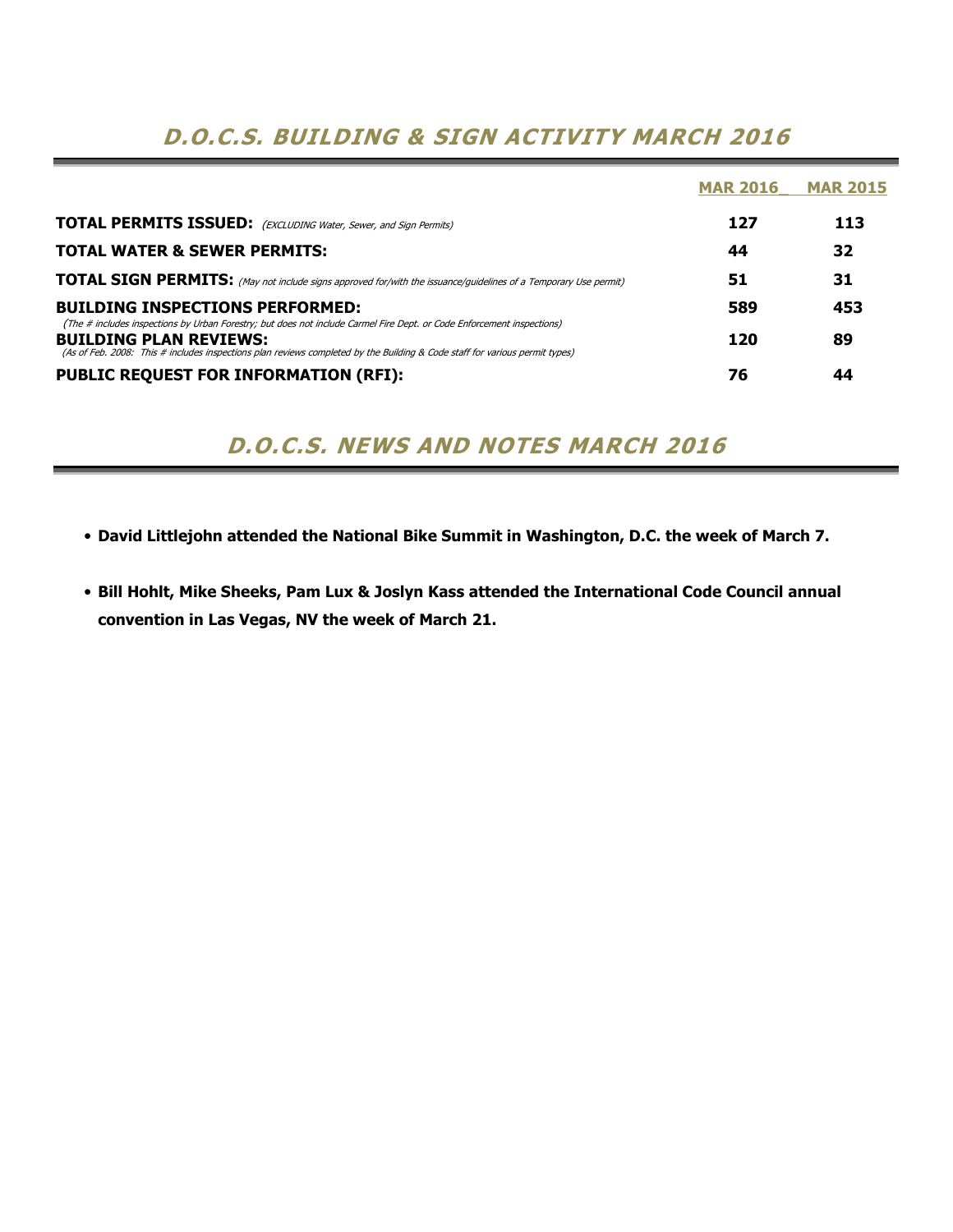### D.O.C.S. BUILDING & SIGN ACTIVITY MARCH 2016

|                                                                                                                                                                                                                                                                                        | <b>MAR 2016</b> | <b>MAR 2015</b> |
|----------------------------------------------------------------------------------------------------------------------------------------------------------------------------------------------------------------------------------------------------------------------------------------|-----------------|-----------------|
| <b>TOTAL PERMITS ISSUED:</b> (EXCLUDING Water, Sewer, and Sign Permits)                                                                                                                                                                                                                | 127             | 113             |
| <b>TOTAL WATER &amp; SEWER PERMITS:</b>                                                                                                                                                                                                                                                | 44              | 32              |
| <b>TOTAL SIGN PERMITS:</b> (May not include signs approved for/with the issuance/guidelines of a Temporary Use permit)                                                                                                                                                                 | 51              | 31              |
| <b>BUILDING INSPECTIONS PERFORMED:</b>                                                                                                                                                                                                                                                 | 589             | 453             |
| (The # includes inspections by Urban Forestry; but does not include Carmel Fire Dept. or Code Enforcement inspections)<br><b>BUILDING PLAN REVIEWS:</b><br>(As of Feb. 2008: This # includes inspections plan reviews completed by the Building & Code staff for various permit types) | 120             | 89              |
| <b>PUBLIC REQUEST FOR INFORMATION (RFI):</b>                                                                                                                                                                                                                                           | 76              | 44              |

D.O.C.S. NEWS AND NOTES MARCH 2016

- David Littlejohn attended the National Bike Summit in Washington, D.C. the week of March 7.
- Bill Hohlt, Mike Sheeks, Pam Lux & Joslyn Kass attended the International Code Council annual convention in Las Vegas, NV the week of March 21.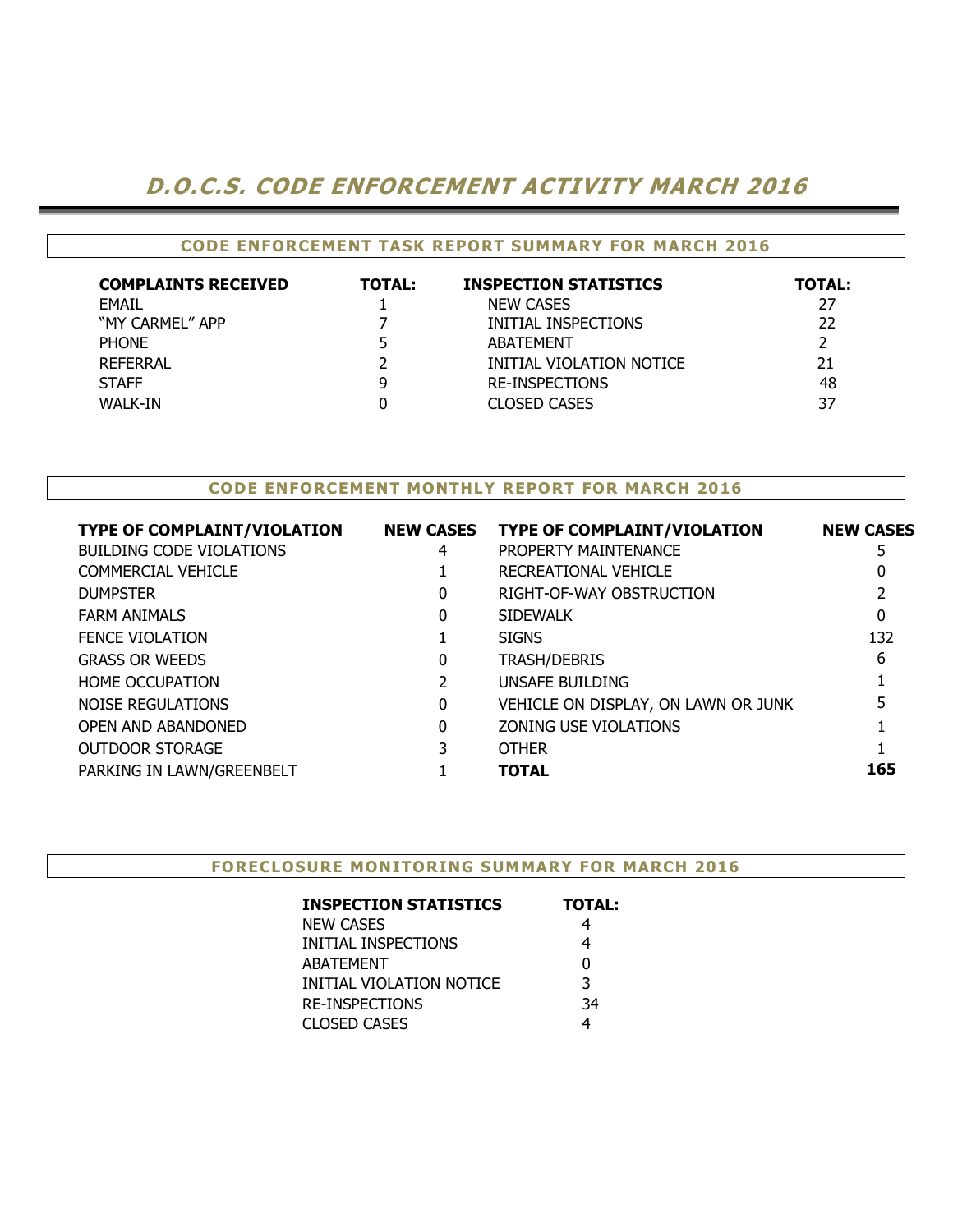## D.O.C.S. CODE ENFORCEMENT ACTIVITY MARCH 2016

### CODE ENFORCEMENT TASK REPORT SUMMARY FOR MARCH 2016

| <b>COMPLAINTS RECEIVED</b> | <b>TOTAL:</b> | <b>INSPECTION STATISTICS</b> | <b>TOTAL:</b> |
|----------------------------|---------------|------------------------------|---------------|
| <b>FMAIL</b>               |               | <b>NEW CASES</b>             | 27            |
| "MY CARMEL" APP            |               | INITIAL INSPECTIONS          | 22            |
| <b>PHONE</b>               |               | <b>ABATEMENT</b>             |               |
| <b>REFERRAL</b>            |               | INITIAL VIOLATION NOTICE     | 21            |
| <b>STAFF</b>               |               | <b>RE-INSPECTIONS</b>        | 48            |
| WALK-IN                    |               | <b>CLOSED CASES</b>          | 37            |

#### CODE ENFORCEMENT MONTHLY REPORT FOR MARCH 2016

| <b>TYPE OF COMPLAINT/VIOLATION</b> | <b>NEW CASES</b> | <b>TYPE OF COMPLAINT/VIOLATION</b>  | <b>NEW CASES</b> |
|------------------------------------|------------------|-------------------------------------|------------------|
| <b>BUILDING CODE VIOLATIONS</b>    | 4                | PROPERTY MAINTENANCE                |                  |
| COMMERCIAL VEHICLE                 |                  | RECREATIONAL VEHICLE                |                  |
| <b>DUMPSTER</b>                    | 0                | RIGHT-OF-WAY OBSTRUCTION            |                  |
| <b>FARM ANIMALS</b>                | 0                | <b>SIDEWALK</b>                     | 0                |
| <b>FENCE VIOLATION</b>             |                  | <b>SIGNS</b>                        | 132              |
| <b>GRASS OR WEEDS</b>              | 0                | <b>TRASH/DEBRIS</b>                 | 6                |
| <b>HOME OCCUPATION</b>             | 2                | UNSAFE BUILDING                     |                  |
| NOISE REGULATIONS                  | 0                | VEHICLE ON DISPLAY, ON LAWN OR JUNK |                  |
| <b>OPEN AND ABANDONED</b>          | 0                | ZONING USE VIOLATIONS               |                  |
| <b>OUTDOOR STORAGE</b>             |                  | <b>OTHER</b>                        |                  |
| PARKING IN LAWN/GREENBELT          |                  | <b>TOTAL</b>                        | 165              |
|                                    |                  |                                     |                  |

#### FORECLOSURE MONITORING SUMMARY FOR MARCH 2016

| <b>INSPECTION STATISTICS</b> | <b>TOTAL:</b> |
|------------------------------|---------------|
| NEW CASES                    |               |
| INITIAL INSPECTIONS          | 4             |
| <b>ABATEMENT</b>             | 0             |
| INITIAL VIOLATION NOTICE     | 3             |
| <b>RE-INSPECTIONS</b>        | 34            |
| <b>CLOSED CASES</b>          |               |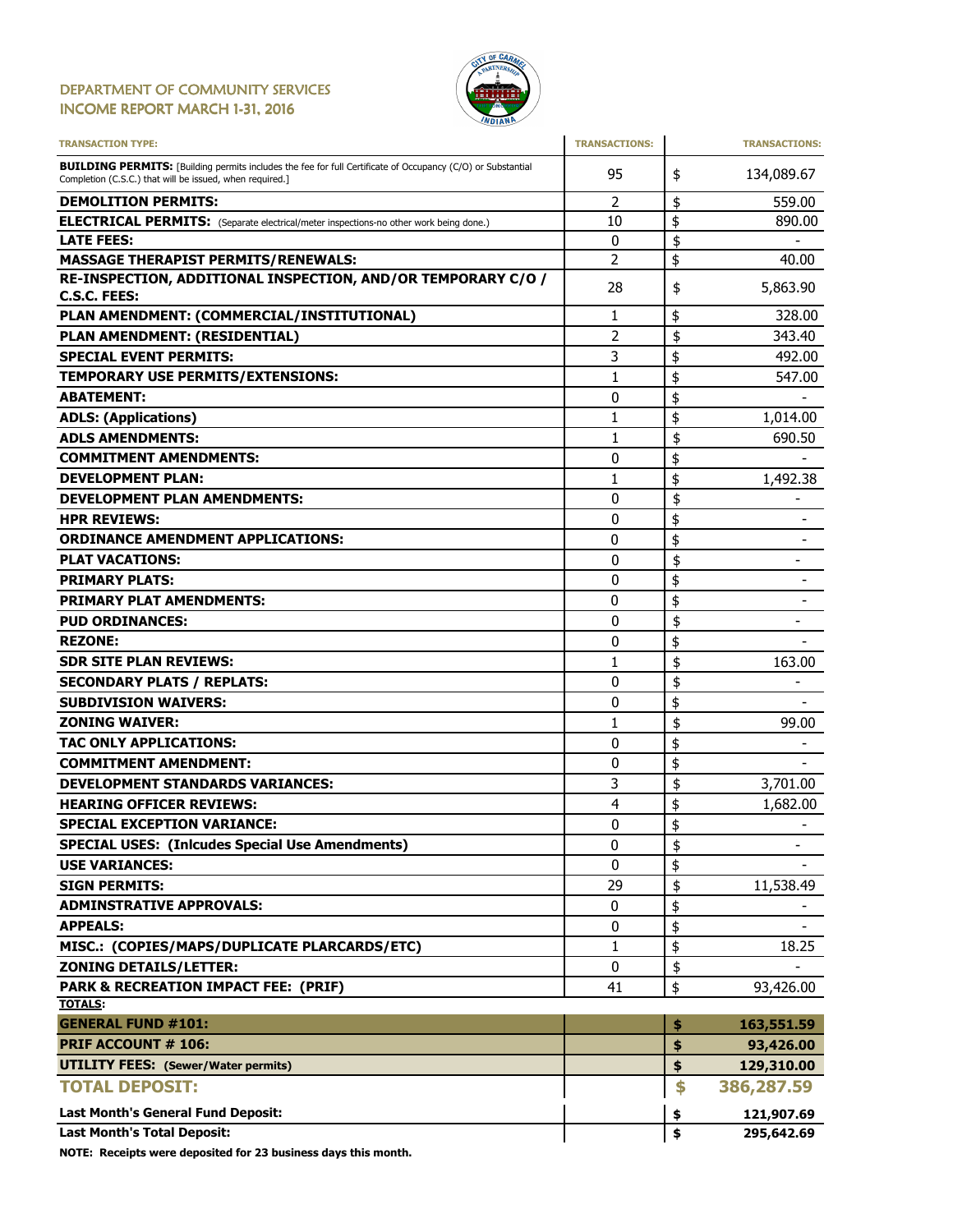#### DEPARTMENT OF COMMUNITY SERVICES INCOME REPORT MARCH 1-31, 2016



| <b>TRANSACTION TYPE:</b>                                                                                                                                                       | <b>TRANSACTIONS:</b> | <b>TRANSACTIONS:</b>               |
|--------------------------------------------------------------------------------------------------------------------------------------------------------------------------------|----------------------|------------------------------------|
| <b>BUILDING PERMITS:</b> [Building permits includes the fee for full Certificate of Occupancy (C/O) or Substantial<br>Completion (C.S.C.) that will be issued, when required.] | 95                   | \$<br>134,089.67                   |
| <b>DEMOLITION PERMITS:</b>                                                                                                                                                     | 2                    | \$<br>559.00                       |
| <b>ELECTRICAL PERMITS:</b> (Separate electrical/meter inspections-no other work being done.)                                                                                   | 10                   | \$<br>890.00                       |
| <b>LATE FEES:</b>                                                                                                                                                              | 0                    | \$                                 |
| <b>MASSAGE THERAPIST PERMITS/RENEWALS:</b>                                                                                                                                     | 2                    | \$<br>40.00                        |
| RE-INSPECTION, ADDITIONAL INSPECTION, AND/OR TEMPORARY C/O /                                                                                                                   | 28                   | \$<br>5,863.90                     |
| <b>C.S.C. FEES:</b>                                                                                                                                                            |                      |                                    |
| PLAN AMENDMENT: (COMMERCIAL/INSTITUTIONAL)                                                                                                                                     | 1                    | \$<br>328.00                       |
| PLAN AMENDMENT: (RESIDENTIAL)                                                                                                                                                  | 2                    | \$<br>343.40                       |
| <b>SPECIAL EVENT PERMITS:</b>                                                                                                                                                  | 3                    | \$<br>492.00                       |
| <b>TEMPORARY USE PERMITS/EXTENSIONS:</b>                                                                                                                                       | 1                    | \$<br>547.00                       |
| <b>ABATEMENT:</b>                                                                                                                                                              | 0                    | \$                                 |
| <b>ADLS: (Applications)</b>                                                                                                                                                    | 1                    | \$<br>1,014.00                     |
| <b>ADLS AMENDMENTS:</b>                                                                                                                                                        | 1                    | \$<br>690.50                       |
| <b>COMMITMENT AMENDMENTS:</b>                                                                                                                                                  | 0                    | \$                                 |
| <b>DEVELOPMENT PLAN:</b>                                                                                                                                                       | 1                    | \$<br>1,492.38                     |
| <b>DEVELOPMENT PLAN AMENDMENTS:</b>                                                                                                                                            | 0                    | \$                                 |
| <b>HPR REVIEWS:</b>                                                                                                                                                            | 0                    | \$                                 |
| <b>ORDINANCE AMENDMENT APPLICATIONS:</b>                                                                                                                                       | 0                    | \$                                 |
| <b>PLAT VACATIONS:</b>                                                                                                                                                         | 0                    | \$<br>$\overline{\phantom{a}}$     |
| <b>PRIMARY PLATS:</b>                                                                                                                                                          | 0                    | \$                                 |
| <b>PRIMARY PLAT AMENDMENTS:</b>                                                                                                                                                | 0                    | \$                                 |
| <b>PUD ORDINANCES:</b>                                                                                                                                                         | 0                    | \$<br>$\qquad \qquad \blacksquare$ |
| <b>REZONE:</b>                                                                                                                                                                 | 0                    | \$                                 |
| <b>SDR SITE PLAN REVIEWS:</b>                                                                                                                                                  | 1                    | \$<br>163.00                       |
| <b>SECONDARY PLATS / REPLATS:</b>                                                                                                                                              | 0                    | \$                                 |
| <b>SUBDIVISION WAIVERS:</b>                                                                                                                                                    | 0                    | \$                                 |
| <b>ZONING WAIVER:</b>                                                                                                                                                          | 1                    | \$<br>99.00                        |
| TAC ONLY APPLICATIONS:                                                                                                                                                         | 0                    | \$                                 |
| <b>COMMITMENT AMENDMENT:</b>                                                                                                                                                   | 0                    | \$                                 |
| <b>DEVELOPMENT STANDARDS VARIANCES:</b>                                                                                                                                        | 3                    | \$<br>3,701.00                     |
| <b>HEARING OFFICER REVIEWS:</b>                                                                                                                                                | 4                    | \$<br>1,682.00                     |
| <b>SPECIAL EXCEPTION VARIANCE:</b>                                                                                                                                             | 0                    | \$                                 |
| <b>SPECIAL USES: (Inlcudes Special Use Amendments)</b>                                                                                                                         | 0                    | \$<br>$\overline{\phantom{a}}$     |
| <b>USE VARIANCES:</b>                                                                                                                                                          | 0                    | \$                                 |
| <b>SIGN PERMITS:</b>                                                                                                                                                           | 29                   | \$<br>11,538.49                    |
| <b>ADMINSTRATIVE APPROVALS:</b>                                                                                                                                                | 0                    | \$                                 |
| <b>APPEALS:</b>                                                                                                                                                                | 0                    | \$                                 |
| MISC.: (COPIES/MAPS/DUPLICATE PLARCARDS/ETC)                                                                                                                                   | 1                    | \$<br>18.25                        |
| <b>ZONING DETAILS/LETTER:</b>                                                                                                                                                  | 0                    | \$                                 |
| <b>PARK &amp; RECREATION IMPACT FEE: (PRIF)</b>                                                                                                                                | 41                   | 93,426.00                          |
| <b>TOTALS:</b>                                                                                                                                                                 |                      | \$                                 |
| <b>GENERAL FUND #101:</b>                                                                                                                                                      |                      | \$<br>163,551.59                   |
| <b>PRIF ACCOUNT # 106:</b>                                                                                                                                                     |                      | \$<br>93,426.00                    |
| <b>UTILITY FEES:</b> (Sewer/Water permits)                                                                                                                                     |                      | \$<br>129,310.00                   |
| <b>TOTAL DEPOSIT:</b>                                                                                                                                                          |                      | \$<br>386,287.59                   |
| <b>Last Month's General Fund Deposit:</b>                                                                                                                                      |                      | \$<br>121,907.69                   |
| <b>Last Month's Total Deposit:</b>                                                                                                                                             |                      | \$<br>295,642.69                   |

NOTE: Receipts were deposited for 23 business days this month.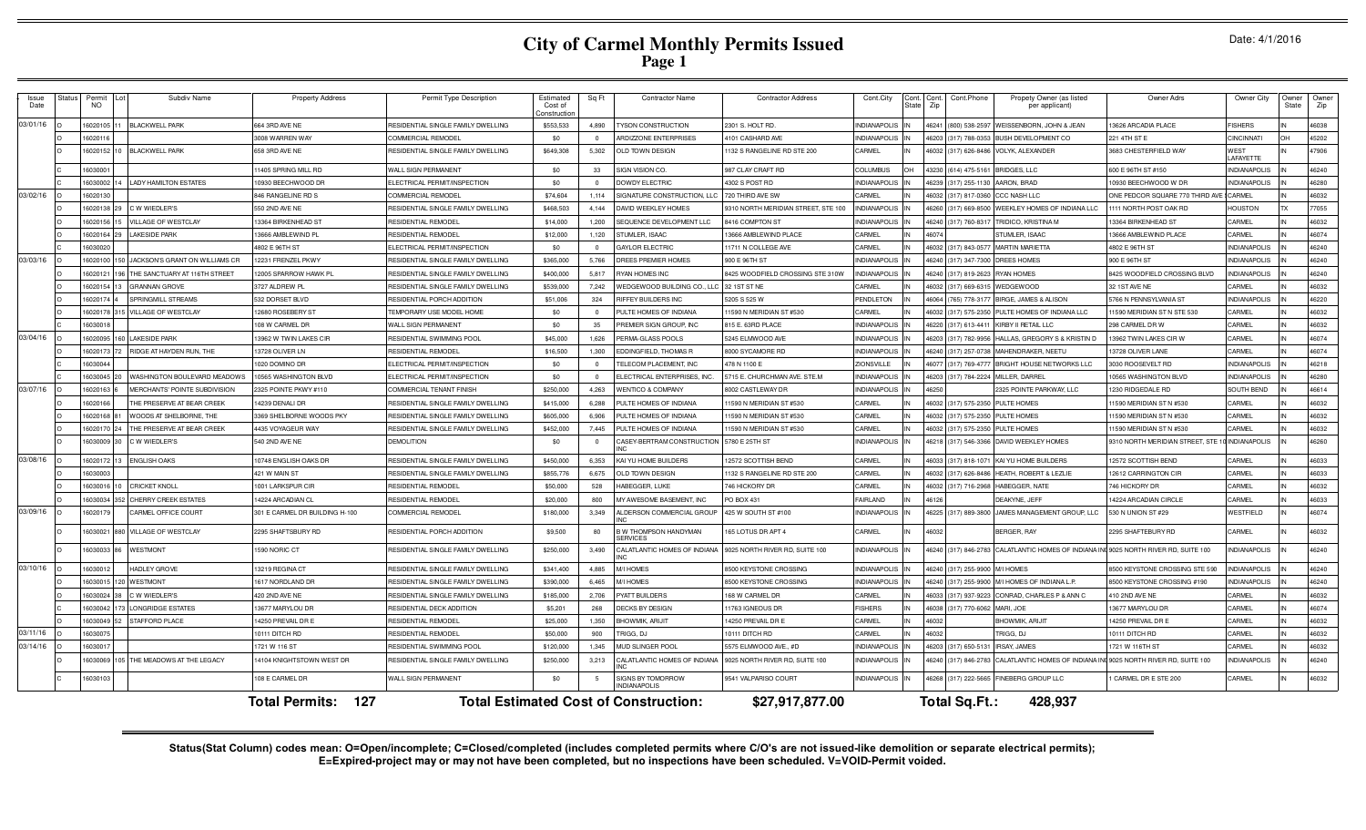| Issue<br>Date | <b>Status</b> | Permit<br>NO. | Subdiv Name                    | <b>Property Address</b>        | Permit Type Description            | Estimated<br>Cost of<br>constructio | Sq Ft          | <b>Contractor Name</b>                          | <b>Contractor Address</b>          | Cont.City                | tate | Cont. Cont. Cont. Phone<br>Zip | Propety Owner (as listed<br>per applicant) | Owner Adrs                      | Owner City          | Owner<br>State | Owner<br>Zip |
|---------------|---------------|---------------|--------------------------------|--------------------------------|------------------------------------|-------------------------------------|----------------|-------------------------------------------------|------------------------------------|--------------------------|------|--------------------------------|--------------------------------------------|---------------------------------|---------------------|----------------|--------------|
| 03/01/16      |               | 602010        | <b>BLACKWELL PARK</b>          | 64 3RD AVE NE                  | RESIDENTIAL SINGLE FAMILY DWELLING | \$553,533                           | 4,890          | <b>YSON CONSTRUCTION</b>                        | 2301 S. HOLT RD                    | NDIANAPOLIS              |      | 46241 (800) 538-2597           | WEISSENBORN, JOHN & JEAN                   | 3626 ARCADIA PLACE              | <b>FISHERS</b>      |                | 46038        |
|               |               | 602011        |                                | 3008 WARREN WAY                | <b>COMMERCIAL REMODEL</b>          | \$0                                 |                | <b>RDIZZONE ENTERPRISES</b>                     | <b>1101 CASHARD AVE</b>            | NDIANAPOLIS              |      | 46203 (317) 788-0353           | BUSH DEVELOPMENT CO                        | 221 4TH ST E                    | <b>CINCINNATI</b>   | OH             | 45202        |
|               |               | 6020152       | <b>BLACKWELL PARK</b>          | 558 3RD AVE NE                 | RESIDENTIAL SINGLE FAMILY DWELLING | \$649,308                           | 5,302          | <b>OLD TOWN DESIGN</b>                          | 132 S RANGELINE RD STE 200         | <b>ARMEL</b>             |      | 46032 (317) 626-8486           | VOLYK, ALEXANDER                           | 683 CHESTERFIELD WAY            | WEST<br>LAFAYETTE   |                | 47906        |
|               |               | 603000        |                                | 1405 SPRING MILL RD            | WALL SIGN PERMANENT                | \$0                                 | 33             | <b>SIGN VISION CO.</b>                          | 987 CLAY CRAFT RD                  | COLUMBUS                 |      | 43230 (614) 475-5161           | BRIDGES. LLC                               | 600 E 96TH ST #150              | <b>INDIANAPOLIS</b> |                | 46240        |
|               |               | 603000        | LADY HAMILTON ESTATES          | 0930 BEECHWOOD DF              | ELECTRICAL PERMIT/INSPECTION       | \$0                                 | $\Omega$       | OWDY ELECTRIC                                   | 4302 S POST RD                     | <b>NDIANAPOLIS</b>       |      | 46239 (317) 255-1130           | AARON, BRAD                                | 0930 BEECHWOOD W DR             | <b>INDIANAPOLIS</b> |                | 46280        |
| 03/02/16      |               | 1602013       |                                | 846 RANGELINE RD S             | COMMERCIAL REMODEL                 | \$74,604                            | 1,114          | SIGNATURE CONSTRUCTION, LLC                     | 720 THIRD AVE SW                   | CARMEL                   |      | 46032 (317) 817-0360           | CCC NASH LLC                               | ONE PEDCOR SQUARE 770 THIRD AVE | CARMEL              |                | 46032        |
|               |               | 602013        | C W WIEDLER'S                  | 50 2ND AVE NE                  | RESIDENTIAL SINGLE FAMILY DWELLING | \$468,503                           | 4.144          | AVID WEEKLEY HOMES                              | 310 NORTH MERIDIAN STREET, STE 100 | NDIANAPOLI:              |      | 6260 (317) 669-8500            | WEEKLEY HOMES OF INDIANA LLC               | 111 NORTH POST OAK RD           | <b>HOUSTON</b>      | <b>TX</b>      | 77055        |
|               |               | 602015        | VILLAGE OF WESTCLAY            | 3364 BIRKENHEAD S'             | RESIDENTIAL REMODE                 | \$14,000                            | 1,200          | <b>EQUENCE DEVELOPMENT LLC</b>                  | 3416 COMPTON ST                    | <b>NDIANAPOLIS</b>       |      | 46240 (317) 760-831            | RIDICO, KRISTINA M                         | 3364 BIRKENHEAD ST              | CARMEL              |                | 46032        |
|               |               | 6020164       | <b>AKESIDE PARK</b>            | 3666 AMBLEWIND PL              | RESIDENTIAL REMODEL                | \$12,000                            | 1,120          | <b>STUMLER, ISAAC</b>                           | 3666 AMBLEWIND PLACE               | <b>ARMEL</b>             |      | 46074                          | STUMLER, ISAAC                             | 3666 AMBLEWIND PLACE            | CARMEL              |                | 46074        |
|               |               | 603002        |                                | 4802 E 96TH ST                 | ELECTRICAL PERMIT/INSPECTION       | \$0                                 | $\Omega$       | <b>GAYLOR ELECTRIC</b>                          | 11711 N COLLEGE AVE                | <b>ARMEL</b>             |      | 6032 (317) 843-0577            | <b>MARTIN MARIETTA</b>                     | 4802 E 96TH ST                  | <b>INDIANAPOLIS</b> |                | 46240        |
| 03/03/16      |               | 6020100       | JACKSON'S GRANT ON WILLIAMS CR | 2231 FRENZEL PKWY              | RESIDENTIAL SINGLE FAMILY DWELLING | \$365,000                           | 5,766          | REES PREMIER HOMES                              | 900 E 96TH ST                      | NDIANAPOLIS              |      | 46240 (317) 347-7300           | DREES HOMES                                | 900 E 96TH ST                   | <b>INDIANAPOLIS</b> |                | 46240        |
|               |               | 602012        | THE SANCTUARY AT 116TH STREET  | 2005 SPARROW HAWK PL           | RESIDENTIAL SINGLE FAMILY DWELLING | \$400,000                           | 5.817          | YAN HOMES INC                                   | 8425 WOODFIELD CROSSING STE 310W   | <b>NDIANAPOLIS</b>       |      | 46240 (317) 819-2623           | <b>RYAN HOMES</b>                          | 8425 WOODFIELD CROSSING BLVD    | <b>INDIANAPOLIS</b> |                | 46240        |
|               |               | 1602015       | <b>GRANNAN GROVE</b>           | 3727 ALDREW PL                 | RESIDENTIAL SINGLE FAMILY DWELLING | \$539,000                           | 7.242          | VEDGEWOOD BUILDING CO., LLC 32 1ST ST NE        |                                    | CARMEL                   |      | 46032 (317) 669-6315           | WEDGEWOOD                                  | 32 1ST AVE NE                   | CARMEL              |                | 46032        |
|               |               | 602017        | SPRINGMILL STREAMS             | 532 DORSET BLVD                | RESIDENTIAL PORCH ADDITION         | \$51,006                            | 324            | RIFFEY BUILDERS INC                             | 5205 S 525 W                       | PENDLETON                |      | 46064 (765) 778-317            | BIRGE, JAMES & ALISON                      | 5766 N PENNSYLVANIA ST          | <b>INDIANAPOLIS</b> |                | 46220        |
|               |               | 1602017       | <b>VILLAGE OF WESTCLAY</b>     | 2680 ROSEBERY ST               | <b>FEMPORARY USE MODEL HOME</b>    | \$0                                 | $\Omega$       | ULTE HOMES OF INDIANA                           | 1590 N MERIDIAN ST #530            | CARMEL                   |      | 46032 (317) 575-2350           | PULTE HOMES OF INDIANA LLC                 | 1590 MERIDIAN ST N STE 530      | CARMEL              |                | 46032        |
|               |               | 603001        |                                | 108 W CARMEL DR                | WALL SIGN PERMANENT                | \$0                                 | 35             | <b>REMIER SIGN GROUP, INC.</b>                  | 815 E. 63RD PLACE                  | <b>NDIANAPOLIS</b>       |      | 46220 (317) 613-4411           | KIRBY II RETAIL LLC                        | 298 CARMEL DR W                 | CARMEL              |                | 46032        |
| 03/04/16      |               | 602009        | LAKESIDE PARK                  | 13962 W TWIN LAKES CIR         | RESIDENTIAL SWIMMING POOL          | \$45,000                            | 1,626          | <b>ERMA-GLASS POOLS</b>                         | 5245 ELMWOOD AVE                   | <b>NDIANAPOLIS</b>       |      | 46203 (317) 782-9956           | HALLAS, GREGORY S & KRISTIN D              | 3962 TWIN LAKES CIR W           | CARMEL              |                | 46074        |
|               |               | 602017        | RIDGE AT HAYDEN RUN, THE       | 13728 OLIVER LN                | RESIDENTIAL REMODEL                | \$16,500                            | 1,300          | <b>EDDINGFIELD, THOMAS R</b>                    | <b>3000 SYCAMORE RD</b>            | <b>NDIANAPOLIS</b>       |      | 46240 (317) 257-0738           | MAHENDRAKER, NEETU                         | 3728 OLIVER LANE                | CARMEL              |                | 46074        |
|               |               | 603004        |                                | 1020 DOMINO DR                 | ELECTRICAL PERMIT/INSPECTION       | \$0                                 |                | ELECOM PLACEMENT, INC                           | 478 N 1100 E                       | <b>IONSVILLE</b>         |      | 46077 (317) 769-4777           | BRIGHT HOUSE NETWORKS LLC                  | 3030 ROOSEVELT RD               | <b>INDIANAPOLIS</b> |                | 46218        |
|               |               | 603004        | WASHINGTON BOULEVARD MEADOWS   | 0565 WASHINGTON BLVD           | LECTRICAL PERMIT/INSPECTION        | \$0                                 |                | LECTRICAL ENTERPRISES, INC                      | 5715 E. CHURCHMAN AVE. STE.M       | NDIANAPOLI:              |      | 6203 (317) 784-2224            | MILLER, DARREI                             | 0565 WASHINGTON BLVD            | <b>INDIANAPOLIS</b> |                | 46280        |
| 03/07/16      |               | 602016        | MERCHANTS' POINTE SUBDIVISION  | 325 POINTE PKWY #110           | COMMERCIAL TENANT FINISH           | \$250,000                           | 4.263          | <b>VENTICO &amp; COMPANY</b>                    | <b>8002 CASTLEWAY DR</b>           | <b>NDIANAPOLIS</b>       |      | 6250                           | 2325 POINTE PARKWAY, LLC                   | 230 RIDGEDALE RD                | SOUTH BEND          |                | 46614        |
|               |               | 602016        | HE PRESERVE AT BEAR CREEK      | 4239 DENALI DR                 | RESIDENTIAL SINGLE FAMILY DWELLING | \$415,000                           | 6.288          | ULTE HOMES OF INDIANA                           | 590 N MERIDIAN ST #530             | CARMEL                   |      | 6032 (317) 575-2350            | PULTE HOMES                                | 1590 MERIDIAN ST N #530         | CARMEL              |                | 46032        |
|               |               | 6020168       | WOODS AT SHELBORNE. THE        | 3369 SHELBORNE WOODS PKY       | RESIDENTIAL SINGLE FAMILY DWELLING | \$605,000                           | 6.906          | ULTE HOMES OF INDIANA                           | 1590 N MERIDIAN ST #530            | <b>ARMEL</b>             |      | 6032 (317) 575-2350            | PULTE HOMES                                | 1590 MERIDIAN ST N #530         | CARMEL              |                | 46032        |
|               |               | 6020170       | THE PRESERVE AT BEAR CREEK     | 4435 VOYAGEUR WAY              | RESIDENTIAL SINGLE FAMILY DWELLING | \$452,000                           | 7,445          | <b>ULTE HOMES OF INDIANA</b>                    | 1590 N MERIDIAN ST #530            | <b>ARMEL</b>             |      | 46032 (317) 575-2350           | PULTE HOMES                                | 1590 MERIDIAN ST N #530         | CARMEL              |                | 46032        |
|               |               | 6030009       | C W WIEDLER'S                  | 540 2ND AVE NE                 | DEMOLITION                         | \$0                                 | $\overline{0}$ | CASEY-BERTRAM CONSTRUCTION 5780 E 25TH ST       |                                    | NDIANAPOLIS<br><b>IN</b> |      | 46218 (317) 546-3366           | DAVID WEEKLEY HOMES                        | 9310 NORTH MERIDIAN STREET, STE | <b>INDIANAPOLIS</b> | IN             | 46260        |
| 03/08/16      |               | 602017        | <b>ENGLISH OAKS</b>            | 10748 ENGLISH OAKS DR          | RESIDENTIAL SINGLE FAMILY DWELLING | \$450,000                           | 6,353          | KAI YU HOME BUILDERS                            | 12572 SCOTTISH BEND                | CARMEL                   |      | 46033 (317) 818-1071           | KAI YU HOME BUILDERS                       | 12572 SCOTTISH BEND             | CARMEL              |                | 46033        |
|               |               | 603000        |                                | 421 W MAIN ST                  | RESIDENTIAL SINGLE FAMILY DWELLING | \$855,776                           | 6,675          | <b>JLD TOWN DESIGN</b>                          | 1132 S RANGELINE RD STE 200        | CARMEL                   |      | 6032 (317) 626-8486            | HEATH, ROBERT & LEZLIE                     | <b>12612 CARRINGTON CIF</b>     | CARMEL              |                | 46033        |
|               |               | 603001        | <b>CRICKET KNOLL</b>           | 1001 LARKSPUR CIR              | RESIDENTIAL REMODE                 | \$50,000                            | 528            | <b>IABEGGER, LUKE</b>                           | 746 HICKORY DR                     | CARMEL                   |      | 46032 (317) 716-2968           | HABEGGER, NATE                             | 746 HICKORY DR                  | CARMEL              |                | 46032        |
|               |               | 603003        | <b>CHERRY CREEK ESTATES</b>    | 4224 ARCADIAN CL               | RESIDENTIAL REMODEL                | \$20,000                            | 800            | <b>MY AWESOME BASEMENT. INC</b>                 | PO BOX 431                         | AIRLAND                  |      | 6126                           | FAKYNE.JEFF                                | 4224 ARCADIAN CIRCLE            | CARMEL              |                | 46033        |
| 03/09/16      |               | 602017        | CARMEL OFFICE COURT            | 301 E CARMEL DR BUILDING H-100 | OMMERCIAL REMODEL                  | \$180,000                           | 3,349          | LDERSON COMMERCIAL GROUP                        | 425 W SOUTH ST #100                | NDIANAPOLIS              |      | 46225 (317) 889-3800           | <b>JAMES MANAGEMENT GROUP, LLC</b>         | 530 N UNION ST #29              | WESTFIELD           |                | 46074        |
|               |               | 603002        | <b>ILLAGE OF WESTCLAY</b>      | 2295 SHAFTSBURY RD             | RESIDENTIAL PORCH ADDITION         | \$9,500                             | 80             | 3 W THOMPSON HANDYMAN<br><b>SERVICES</b>        | 165 LOTUS DR APT 4                 | CARMEL                   |      | 16032                          | BERGER, RAY                                | 2295 SHAFTEBURY RD              | CARMEL              |                | 46032        |
|               |               | 6030033       | <b>WESTMONT</b>                | 590 NORIC CT                   | RESIDENTIAL SINGLE FAMILY DWELLING | \$250,000                           | 3,490          | ALATLANTIC HOMES OF INDIANA                     | 9025 NORTH RIVER RD, SUITE 100     | NDIANAPOLIS              |      | 46240 (317) 846-2783           | CALATLANTIC HOMES OF INDIANA IN            | 9025 NORTH RIVER RD, SUITE 100  | <b>INDIANAPOLIS</b> |                | 46240        |
| 03/10/16      |               | 603001        | <b>HADLEY GROVE</b>            | 13219 REGINA CT                | RESIDENTIAL SINGLE FAMILY DWELLING | \$341.400                           | 4.885          | <b>MIHOMES</b>                                  | <b>3500 KEYSTONE CROSSING</b>      | NDIANAPOLIS              |      | 46240 (317) 255-9900           | M/I HOMES                                  | 8500 KEYSTONE CROSSING STE 590  | <b>INDIANAPOLIS</b> |                | 46240        |
|               |               | 603001        | <b>WESTMONT</b>                | 1617 NORDLAND DR               | RESIDENTIAL SINGLE FAMILY DWELLING | \$390,000                           | 6.465          | <b>WI HOMES</b>                                 | <b>3500 KEYSTONE CROSSING</b>      | NDIANAPOLIS              |      | 46240 (317) 255-9900           | MI HOMES OF INDIANA L.P.                   | 8500 KEYSTONE CROSSING #190     | <b>INDIANAPOLIS</b> |                | 46240        |
|               |               | 603002        | C W WIEDLER'S                  | 420 2ND AVE NE                 | RESIDENTIAL SINGLE FAMILY DWELLING | \$185,000                           | 2,706          | YATT BUILDERS                                   | 168 W CARMEL DR                    | <b>ARMEL</b>             |      | 6033 (317) 937-9223            | CONRAD, CHARLES P & ANN C                  | 110 2ND AVE NE                  | CARMEL              |                | 46032        |
|               |               | 603004        | LONGRIDGE ESTATES              | 3677 MARYLOU DR                | RESIDENTIAL DECK ADDITION          | \$5,201                             | 268            | <b>JECKS BY DESIGN</b>                          | 11763 IGNEOUS DF                   | <b>FISHERS</b>           |      | 46038 (317) 770-6062           | MARI, JOE                                  | 3677 MARYLOU DF                 | CARMEL              |                | 46074        |
|               |               | 603004        | STAFFORD PLACE                 | 4250 PREVAIL DR B              | RESIDENTIAL REMODE                 | \$25,000                            | 1,350          | HOWMIK, ARIJIT                                  | 14250 PREVAIL DR E                 | CARMEL                   |      | 16032                          | <b>BHOWMIK, ARIJIT</b>                     | 4250 PREVAIL DR I               | CARMEL              |                | 46032        |
| 03/11/16      |               | 60300         |                                | 10111 DITCH RD                 | RESIDENTIAL REMODE                 | \$50,000                            | 900            | RIGG, DJ                                        | 10111 DITCH RD                     | CARMEL                   |      | 16032                          | <b>FRIGG, DJ</b>                           | 10111 DITCH RD                  | CARMEL              |                | 46032        |
| 03/14/16      |               | 603001        |                                | 721 W 116 ST                   | RESIDENTIAL SWIMMING POOL          | \$120,000                           | 1,345          | <b>JUD SLINGER POOL</b>                         | 5575 ELMWOOD AVE., #D              | <b>NDIANAPOLIS</b>       |      | 46203 (317) 650-513            | <b>IRSAY, JAMES</b>                        | 721 W 116TH ST                  | CARMEL              |                | 46032        |
|               |               | 6030069       | THE MEADOWS AT THE LEGACY      | 4104 KNIGHTSTOWN WEST DR       | RESIDENTIAL SINGLE FAMILY DWELLING | \$250,000                           | 3,213          | ALATLANTIC HOMES OF INDIANA                     | 9025 NORTH RIVER RD, SUITE 100     | <b>NDIANAPOLIS</b>       |      | 46240 (317) 846-2783           | CALATLANTIC HOMES OF INDIANA IN            | 9025 NORTH RIVER RD, SUITE 100  | <b>INDIANAPOLIS</b> |                | 46240        |
|               |               | 6030103       |                                | 108 E CARMEL DF                | <b>WALL SIGN PERMANENT</b>         | \$0                                 |                | <b>SIGNS BY TOMORROW</b><br><b>INDIANAPOLIS</b> | 9541 VALPARISO COURT               | <b>NDIANAPOLIS</b>       |      |                                | 46268 (317) 222-5665 FINEBERG GROUP LLC    | CARMEL DR E STE 200             | CARMEL              |                | 46032        |
|               |               |               |                                | <b>Total Permits: 127</b>      |                                    |                                     |                | <b>Total Estimated Cost of Construction:</b>    | \$27,917,877.00                    |                          |      | Total Sq.Ft.:                  | 428,937                                    |                                 |                     |                |              |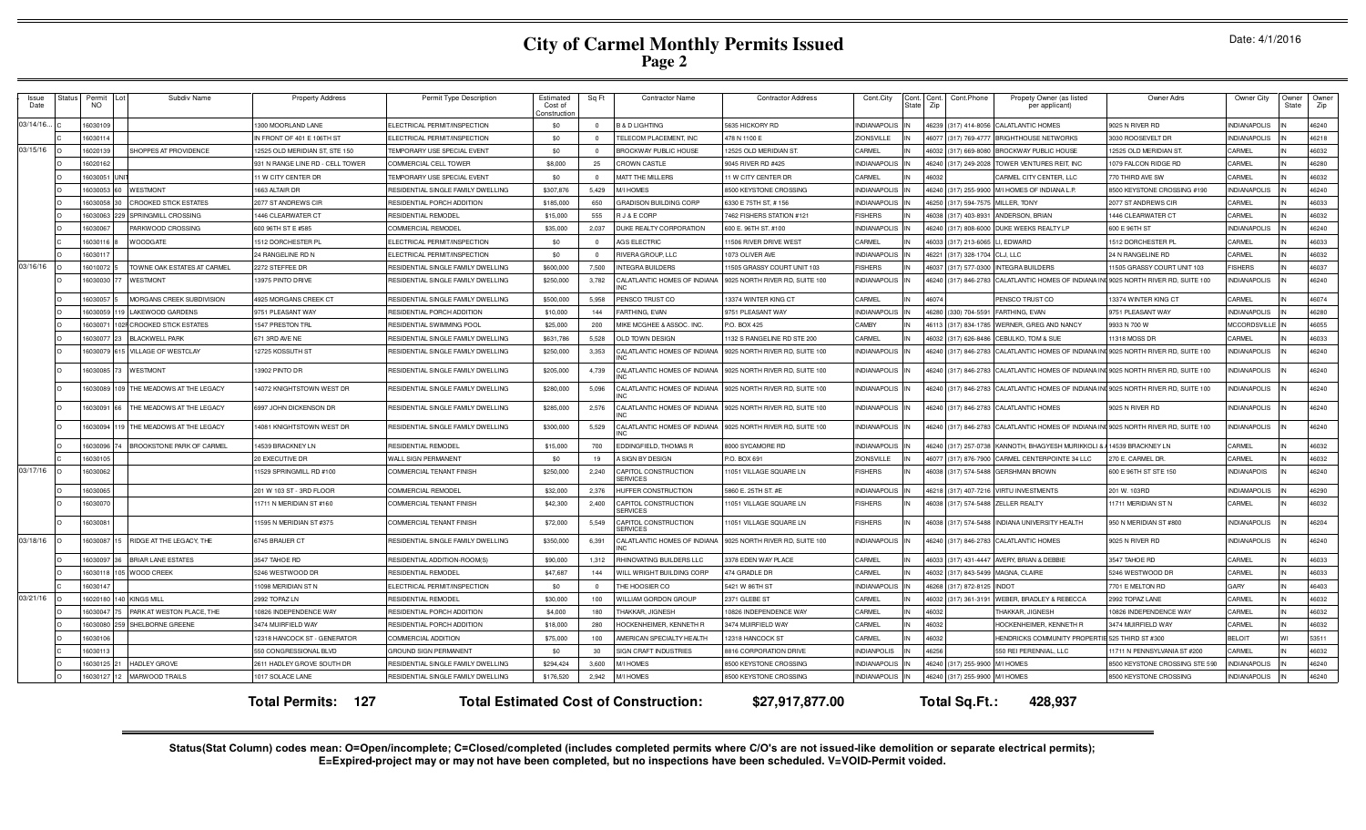| Date: 4/1/2016 |  |
|----------------|--|
|----------------|--|

| Issue<br>Date | tatu       | Permit<br>NO. | Subdiv Name                  | <b>Property Address</b>          | Permit Type Description            | Estimated<br>Cost of<br>Constructio | Sq Ft    | <b>Contractor Name</b>                       | <b>Contractor Address</b>      | Cont.City<br>Cont.<br>State | Cont.Phone<br>Cont<br>Zip     | Propety Owner (as listed<br>per applicant) | Owner Adrs                     | Owner City          | <b>Owner</b><br>State | Owner<br>Zip |
|---------------|------------|---------------|------------------------------|----------------------------------|------------------------------------|-------------------------------------|----------|----------------------------------------------|--------------------------------|-----------------------------|-------------------------------|--------------------------------------------|--------------------------------|---------------------|-----------------------|--------------|
| 03/14/16.     |            | 1603010       |                              | 1300 MOORLAND LANE               | ELECTRICAL PERMIT/INSPECTION       | \$0                                 | $\Omega$ | <b>B &amp; D LIGHTING</b>                    | 5635 HICKORY RD                | NDIANAPOLIS                 | (317) 414-8056<br>46239       | ALATLANTIC HOMES                           | 9025 N RIVER RD                | <b>INDIANAPOLIS</b> |                       | 46240        |
|               |            | 1603011       |                              | IN FRONT OF 401 E 106TH ST       | ELECTRICAL PERMIT/INSPECTION       | \$0                                 |          | TELECOM PLACEMENT. INC                       | 78 N 1100 E                    | ZIONSVILLE                  | 6077<br>(317) 769-4777        | RIGHTHOUSE NETWORKS                        | 3030 ROOSEVELT DF              | <b>INDIANAPOLIS</b> |                       | 46218        |
| 03/15/16      |            | 602013        | <b>SHOPPES AT PROVIDENCE</b> | 2525 OLD MERIDIAN ST, STE 150    | <b>TEMPORARY USE SPECIAL EVENT</b> | \$0                                 |          | <b>BROCKWAY PUBLIC HOUSE</b>                 | 2525 OLD MERIDIAN ST           | CARMEL                      | 317) 669-808                  | ROCKWAY PUBLIC HOUSE                       | 2525 OLD MERIDIAN ST.          | CARMEL              |                       | 46032        |
|               |            | 602016        |                              | 931 N RANGE LINE RD - CELL TOWER | COMMERCIAL CELL TOWER              | \$8,000                             | 25       | <b>CROWN CASTLE</b>                          | 9045 RIVER RD #425             | NDIANAPOLIS                 | 6240<br>(317) 249-2028        | <b><i>FOWER VENTURES REIT. INC</i></b>     | 079 FALCON RIDGE RD            | CARMEL              |                       | 46280        |
|               |            | 6030051       |                              | 1 W CITY CENTER DR               | TEMPORARY USE SPECIAL EVENT        | \$0                                 |          | MATT THE MILLERS                             | 1 W CITY CENTER DR             | CARMEL                      |                               | ARMEL CITY CENTER, LLC                     | 770 THIRD AVE SW               | ARMEL               |                       | 46032        |
|               |            | 16030053      | WESTMONT                     | 1663 ALTAIR DR                   | RESIDENTIAL SINGLE FAMILY DWELLING | \$307,876                           | 5,429    | M/I HOMES                                    | <b>3500 KEYSTONE CROSSING</b>  | <b>INDIANAPOLIS</b>         | 46240 (317) 255-9900          | M/I HOMES OF INDIANA L.P.                  | 8500 KEYSTONE CROSSING #190    | <b>INDIANAPOLIS</b> |                       | 46240        |
|               |            | 1603005       | <b>CROOKED STICK ESTATES</b> | 2077 ST ANDREWS CIR              | RESIDENTIAL PORCH ADDITION         | \$185,000                           | 650      | <b>GRADISON BUILDING CORP</b>                | 3330 E 75TH ST, #156           | <b>INDIANAPOLIS</b>         | 46250 (317) 594-7575          | MILLER, TONY                               | 2077 ST ANDREWS CIR            | CARMEL              |                       | 46033        |
|               |            | 1603006       | SPRINGMILL CROSSING          | 446 CLEARWATER CT                | <b>RESIDENTIAL REMODEL</b>         | \$15,000                            | 555      | <b>J &amp; E CORP</b>                        | 7462 FISHERS STATION #121      | <b>FISHERS</b>              | 16038 (317) 403-8931          | ANDERSON, BRIAN                            | <b>1446 CLEARWATER CT</b>      | CARMEL              |                       | 46032        |
|               |            | 1603006       | PARKWOOD CROSSING            | 600 96TH ST E #585               | COMMERCIAL REMODEL                 | \$35,000                            | 2,037    | <b>DUKE REALTY CORPORATION</b>               | 600 E. 96TH ST. #100           | <b>NDIANAPOLIS</b>          | 46240<br>(317) 808-6000       | DUKE WEEKS REALTY LP                       | 600 E 96TH ST                  | <b>INDIANAPOLIS</b> |                       | 46240        |
|               |            | 1603011       | <b>WOODGATE</b>              | 1512 DORCHESTER PI               | ELECTRICAL PERMIT/INSPECTION       | \$0                                 | $\Omega$ | AGS ELECTRIC                                 | 1506 RIVER DRIVE WEST          | CARMEL                      | (317) 213-606<br><b>2208</b>  | <b>FDWARD</b>                              | <b>1512 DORCHESTER PL</b>      | CARMEL              |                       | 46033        |
|               |            | 1603011       |                              | 24 RANGELINE RD N                | ELECTRICAL PERMIT/INSPECTION       | \$0                                 | $\Omega$ | RIVERA GROUP, LLC                            | 1073 OLIVER AVE                | <b>INDIANAPOLIS</b>         | 46221<br>(317) 328-1704       | 1.LTC                                      | 24 N RANGELINE RD              | CARMEL              |                       | 46032        |
| 03/16/16      |            | 1601007       | TOWNE OAK ESTATES AT CARMEI  | 2272 STEFFEE DR                  | RESIDENTIAL SINGLE FAMILY DWELLING | \$600,000                           | 7,500    | <b>INTEGRA BUILDERS</b>                      | 1505 GRASSY COURT UNIT 103     | <b>ISHERS</b>               | (317) 577-030<br>6037         | <b>NTEGRA BUILDERS</b>                     | 1505 GRASSY COURT UNIT 103     | <b>ISHERS</b>       |                       | 46037        |
|               |            | 6030030       | WESTMONT                     | 13975 PINTO DRIVE                | RESIDENTIAL SINGLE FAMILY DWELLING | \$250,000                           | 3,782    | CALATLANTIC HOMES OF INDIANA                 | 9025 NORTH RIVER RD, SUITE 100 | <b>NDIANAPOLIS</b>          | 6240<br>(317) 846-2783        | ALATLANTIC HOMES OF INDIANA II             | 9025 NORTH RIVER RD, SUITE 100 | NDIANAPOLIS         |                       | 46240        |
|               |            | 16030057      | MORGANS CREEK SUBDIVISION    | 4925 MORGANS CREEK CT            | RESIDENTIAL SINGLE FAMILY DWELLING | \$500,000                           | 5.958    | PENSCO TRUST CO                              | 13374 WINTER KING CT           | CARMEL                      |                               | PENSCO TRUST CO                            | 13374 WINTER KING CT           | CARMEL              |                       | 46074        |
|               |            | 1603005       | AKEWOOD GARDENS              | 9751 PLEASANT WAY                | RESIDENTIAL PORCH ADDITION         | \$10,000                            | 144      | FARTHING, EVAN                               | 9751 PLEASANT WAY              | INDIANAPOLIS                | 46280 (330) 704-5591          | FARTHING, FVAN                             | 9751 PLEASANT WAY              | INDIANAPOLIS        |                       | 46280        |
|               |            | 1603007       | <b>CROOKED STICK ESTATES</b> | 1547 PRESTON TRL                 | <b>RESIDENTIAL SWIMMING POOL</b>   | \$25,000                            | 200      | MIKE MCGHEE & ASSOC. INC.                    | P.O. BOX 425                   | CAMBY                       | (317) 834-178<br>16113        | VERNER, GREG AND NANCY                     | 9933 N 700 W                   | <b>MCCORDSVILLE</b> |                       | 46055        |
|               |            | 1603007       | <b>BLACKWELL PARK</b>        | 671 3RD AVF NF                   | RESIDENTIAL SINGLE FAMILY DWELLING | \$631,786                           | 5,528    | OLD TOWN DESIGN                              | 132 S RANGELINE RD STE 200     | CARMEL                      | (317) 626-848<br><b>CENA1</b> | <b>CEBULKO, TOM &amp; SUE</b>              | 11318 MOSS DR                  | CARMEL              |                       | 46033        |
|               |            | 603007        | <b>ILLAGE OF WESTCLAY</b>    | 2725 KOSSUTH ST                  | RESIDENTIAL SINGLE FAMILY DWELLING | \$250,000                           | 3,353    | CALATLANTIC HOMES OF INDIANA                 | 025 NORTH RIVER RD. SUITE 100  | NDIANAPOLIS                 | 16240<br>317) 846-2783        | ALATLANTIC HOMES OF INDIANA I              | 1025 NORTH RIVER RD. SUITE 100 | NDIANAPOLIS         |                       | 46240        |
|               |            | 6030085       | <b>WESTMONT</b>              | 3902 PINTO DR                    | RESIDENTIAL SINGLE FAMILY DWELLING | \$205,000                           | 4,739    | CALATLANTIC HOMES OF INDIANA                 | 025 NORTH RIVER RD, SUITE 100  | NDIANAPOLIS                 | 46240 (317) 846-2783          | CALATLANTIC HOMES OF INDIANA I             | 025 NORTH RIVER RD, SUITE 100  | NDIANAPOLIS         |                       | 46240        |
|               |            | 603008        | THE MEADOWS AT THE LEGACY    | 4072 KNIGHTSTOWN WEST DR         | RESIDENTIAL SINGLE FAMILY DWELLING | \$280,000                           | 5,096    | CALATLANTIC HOMES OF INDIANA                 | 025 NORTH RIVER RD, SUITE 100  | NDIANAPOLIS                 | 46240 (317) 846-2783          | ALATLANTIC HOMES OF INDIANA I              | 9025 NORTH RIVER RD, SUITE 100 | NDIANAPOLIS         |                       | 46240        |
|               |            | 16030091      | THE MEADOWS AT THE LEGACY    | 6997 JOHN DICKENSON DR           | RESIDENTIAL SINGLE FAMILY DWELLING | \$285,000                           | 2,576    | CALATLANTIC HOMES OF INDIANA                 | 025 NORTH RIVER RD, SUITE 100  | <b>NDIANAPOLIS</b>          | 46240 (317) 846-2783          | CALATLANTIC HOMES                          | 025 N RIVER RD                 | NDIANAPOLIS         |                       | 46240        |
|               |            | 6030094       | THE MEADOWS AT THE LEGACY    | 14081 KNIGHTSTOWN WEST DR        | RESIDENTIAL SINGLE FAMILY DWELLING | \$300,000                           | 5,529    | CALATLANTIC HOMES OF INDIANA                 | 9025 NORTH RIVER RD, SUITE 100 | <b>INDIANAPOLIS</b>         | 16240 (317) 846-2783          | CALATLANTIC HOMES OF INDIANA IN            | 9025 NORTH RIVER RD. SUITE 100 | <b>INDIANAPOLIS</b> |                       | 46240        |
|               |            | 1603009       | BROOKSTONE PARK OF CARMEI    | 14539 BRACKNEY LN                | RESIDENTIAI REMODE                 | \$15,000                            | 700      | EDDINGFIELD, THOMAS R                        | 3000 SYCAMORE RD               | <b>NDIANAPOLIS</b>          | 46240 (317) 257-0738          | KANNOTH. BHAGYESH MURIKKOLL                | 4539 BRACKNEY LN               | CARMEL              |                       | 46032        |
|               |            | 1603010       |                              | 20 EXECUTIVE DR                  | <b>WALL SIGN PERMANENT</b>         | \$0                                 | 19       | A SIGN BY DESIGN                             | .O. BOX 691                    | <b>ZIONSVILLE</b>           | (317) 876-7900<br>16077       | ARMEL CENTERPOINTE 34 LLC                  | 270 E. CARMEL DR.              | CARMEL              |                       | 46032        |
| 03/17/16      |            | 603006        |                              | 1529 SPRINGMILL RD #100          | COMMERCIAL TENANT FINISH           | \$250,000                           | 2,240    | CAPITOL CONSTRUCTION<br><b>SERVICES</b>      | 1051 VILLAGE SQUARE LN         | <b>FISHERS</b>              | (317) 574-5488<br>16038       | <b>ERSHMAN BROWN</b>                       | 600 E 96TH ST STE 150          | NDIANAPOIS          |                       | 46240        |
|               |            | 16030065      |                              | 201 W 103 ST - 3RD FLOOR         | COMMERCIAL REMODEL                 | \$32,000                            | 2,376    | <b>IUFFER CONSTRUCTION</b>                   | 5860 E. 25TH ST. #E            | <b>INDIANAPOLIS</b>         | 46218 (317) 407-7216          | <b>/IRTU INVESTMENTS</b>                   | 201 W. 103RD                   | <b>INDIAMAPOLIS</b> |                       | 46290        |
|               |            | 1603007       |                              | 11711 N MERIDIAN ST #160         | COMMERCIAL TENANT FINISH           | \$42,300                            | 2,400    | CAPITOL CONSTRUCTION<br><b>FRVICES</b>       | 1051 VILLAGE SQUARE LN         | <b>FISHERS</b>              | (317) 574-5488<br>46038       | ZELLER REALTY                              | 11711 MERIDIAN ST N            | CARMEL              |                       | 46032        |
|               |            | 6030081       |                              | 1595 N MERIDIAN ST #375          | COMMERCIAL TENANT FINISH           | \$72,000                            | 5,549    | CAPITOL CONSTRUCTION<br><b>SERVICES</b>      | 1051 VILLAGE SQUARE LN         | <b>FISHERS</b>              | 6038<br>(317) 574-5488        | INDIANA UNIVERSITY HEALTH                  | 950 N MERIDIAN ST #800         | NDIANAPOLIS         |                       | 46204        |
| 03/18/16      |            | 16030087      | RIDGE AT THE LEGACY. THE     | 6745 BRAUER CT                   | RESIDENTIAL SINGLE FAMILY DWELLING | \$350,000                           | 6,391    | CALATLANTIC HOMES OF INDIANA                 | 9025 NORTH RIVER RD, SUITE 100 | <b>INDIANAPOLIS</b>         | 46240 (317) 846-2783          | CALATLANTIC HOMES                          | 9025 N RIVER RD                | <b>NDIANAPOLIS</b>  |                       | 46240        |
|               |            | 6030097       | <b>BRIAR LANE ESTATES</b>    | 3547 TAHOE RD                    | RESIDENTIAL ADDITION-ROOM(S)       | \$90,000                            | 1.312    | RHINOVATING BUILDERS LLC                     | 3378 EDEN WAY PLACE            | CARMEL                      | (317) 431-4447                | AVERY, BRIAN & DEBBII                      | 3547 TAHOE RD                  | CARMEL              |                       | 46033        |
|               |            | 603011        | <b>WOOD CREEK</b>            | 5246 WESTWOOD DR                 | RESIDENTIAL REMODEL                | \$47,687                            | 144      | VILL WRIGHT BUILDING CORP                    | 74 GRADLE DR                   | CARMEL                      | 317) 843-5499                 | MAGNA, CLAIRE                              | 5246 WESTWOOD DR               | CARMEL              |                       | 46033        |
|               |            | 16030147      |                              | 1098 MERIDIAN ST N               | ELECTRICAL PERMIT/INSPECTION       | \$0                                 |          | THE HOOSIER CO                               | 5421 W 86TH ST                 | <b>INDIANAPOLIS</b>         | (317) 872-8125<br>82681       | <b>INDOT</b>                               | 7701 E MELTON RD               | GARY                |                       | 46403        |
| 03/21/16      | $\sqrt{2}$ | 1602018       | <b>KINGS MILL</b>            | 2992 TOPAZ LN                    | RESIDENTIAI REMODEI                | \$30,000                            | 100      | WILLIAM GORDON GROUP                         | 2371 GLEBE ST                  | CARMEL                      | 46032 (317) 361-3191          | WEBER, BRADLEY & REBECCA                   | 2992 TOPAZ LANE                | CARMEL              |                       | 46032        |
|               |            | 1603004       | ARK AT WESTON PLACE, THE     | 10826 INDEPENDENCE WAY           | RESIDENTIAL PORCH ADDITION         | \$4,000                             | 180      | <b>THAKKAR, JIGNESH</b>                      | 0826 INDEPENDENCE WAY          | CARMEL                      |                               | HAKKAR JIGNESH                             | 0826 INDEPENDENCE WAY          | CARMEL              |                       | 46032        |
|               |            | 1603008       | SHELBORNE GREENE             | 3474 MUIREIELD WAY               | RESIDENTIAL PORCH ADDITION         | \$18,000                            | 280      | HOCKENHEIMER, KENNETH F                      | 3474 MUIRFIELD WAY             | CARMEL                      | 46032                         | HOCKENHEIMER, KENNETH R                    | 3474 MUREIELD WAY              | CARMEL              |                       | 46032        |
|               |            | 1603010       |                              | 12318 HANCOCK ST - GENERATOR     | COMMERCIAL ADDITION                | \$75,000                            | 100      | AMERICAN SPECIALTY HEALTH                    | 2318 HANCOCK ST                | CARMEL                      | 16032                         | <b>HENDRICKS COMMUNITY PROPERT</b>         | 525 THIRD ST #300              | <b>BELOIT</b>       |                       | 53511        |
|               |            | 1603011       |                              | 550 CONGRESSIONAL BLVD           | <b>GROUND SIGN PERMANENT</b>       | \$0                                 | 30       | SIGN CRAFT INDUSTRIES                        | 816 CORPORATION DRIVE          | <b>NDIANPOLIS</b>           | 46256                         | 550 REI PERENNIAL, LLC                     | 11711 N PENNSYLVANIA ST #200   | CARMEL              |                       | 46032        |
|               |            | 1603012       | <b>ADLEY GROVE</b>           | 2611 HADLEY GROVE SOUTH DF       | RESIDENTIAL SINGLE FAMILY DWELLING | \$294.424                           | 3,600    | <b>II HOMES</b>                              | <b>3500 KEYSTONE CROSSING</b>  | <b>NDIANAPOLIS</b>          | 46240 (317) 255-9900          | <b>M/I HOMES</b>                           | 3500 KEYSTONE CROSSING STE 590 | NDIANAPOLIS         |                       | 46240        |
|               |            | 603012        | <b>MARWOOD TRAILS</b>        | 1017 SOLACE LANE                 | RESIDENTIAL SINGLE FAMILY DWELLING | \$176,520                           | 2.942    | <b>MIHOMES</b>                               | <b>3500 KEYSTONE CROSSING</b>  | <b>NDIANAPOLIS</b>          | 46240<br>(317) 255-9900       | <b>MI HOMES</b>                            | 3500 KEYSTONE CROSSING         | <b>NDIANAPOLIS</b>  |                       | 46240        |
|               |            |               |                              | <b>Total Permits: 127</b>        |                                    |                                     |          | <b>Total Estimated Cost of Construction:</b> | \$27,917,877.00                |                             | Total Sq.Ft.:                 | 428.937                                    |                                |                     |                       |              |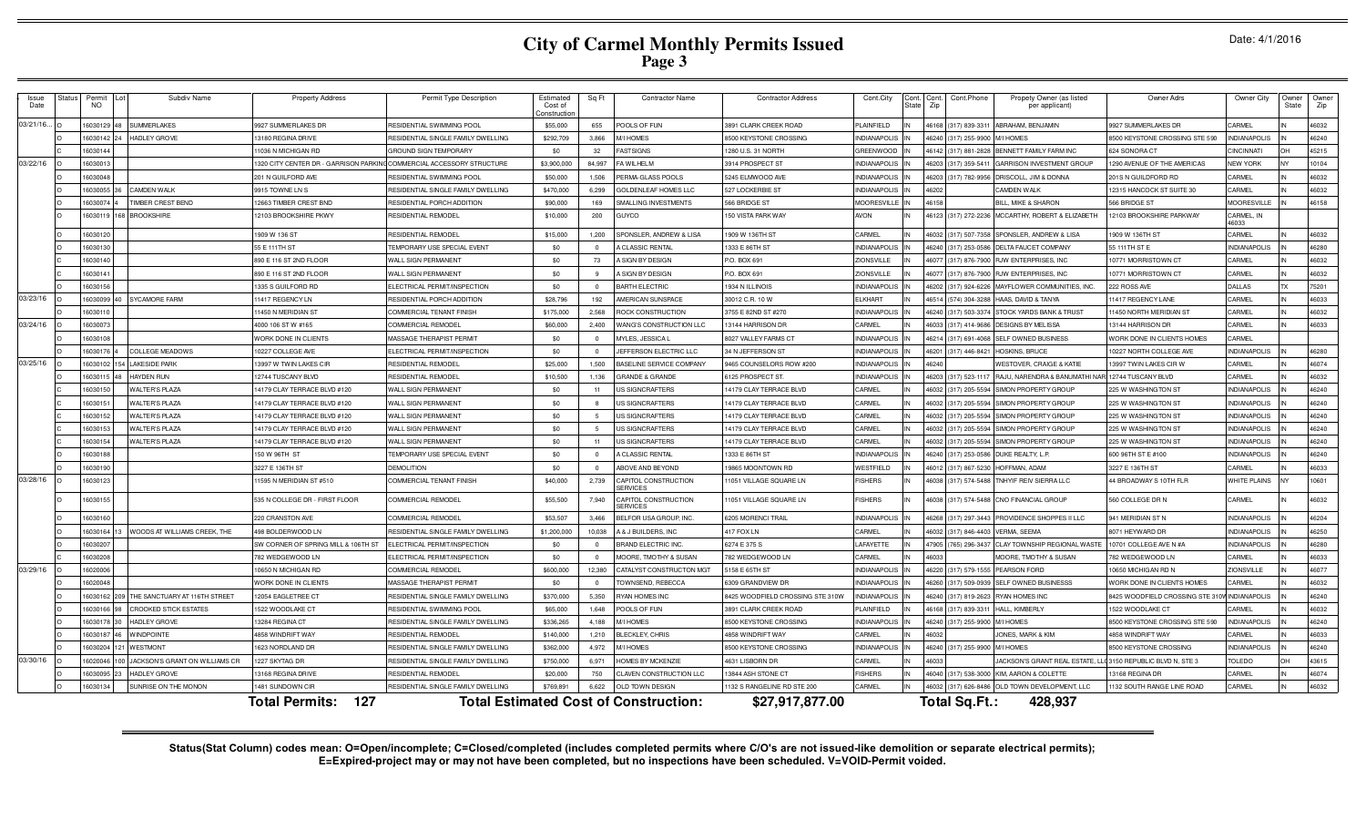| Date: 4/1/2016 |  |
|----------------|--|
|----------------|--|

| Issue<br>Date | itatus | Permit<br>NO. | Subdiv Name                            | <b>Property Address</b>                                              | Permit Type Description            | Estimated<br>Cost of<br>Constructio | Sq Ft      | <b>Contractor Name</b>                       | <b>Contractor Address</b>        | Cont.City          | :ont. Cont<br>Zip<br>∛ate | Cont.Phone     | Propety Owner (as listed<br>per applicant) | Owner Adrs                     | Owner City          | Owner<br>State | Owner<br>Zip |
|---------------|--------|---------------|----------------------------------------|----------------------------------------------------------------------|------------------------------------|-------------------------------------|------------|----------------------------------------------|----------------------------------|--------------------|---------------------------|----------------|--------------------------------------------|--------------------------------|---------------------|----------------|--------------|
| 03/21/16      |        | 16030129      | <b>UMMERIAKES</b>                      | 9927 SUMMERLAKES DR                                                  | RESIDENTIAL SWIMMING POOL          | \$55,000                            | 655        | POOLS OF FUN                                 | 3891 CLARK CREEK ROAD            | PLAINFIELD         | 46168                     | (317) 839-331  | ABRAHAM, BENJAMIN                          | 9927 SUMMERLAKES DR            | <b>ARMEL</b>        |                | 46032        |
|               |        | 16030142      | <b>HADLEY GROVE</b>                    | 13180 REGINA DRIVE                                                   | RESIDENTIAL SINGLE FAMILY DWELLING | \$292,709                           | 3,866      | <b>M/I HOMES</b>                             | <b>3500 KEYSTONE CROSSING</b>    | NDIANAPOLIS        | 46240                     | (317) 255-9900 | MI HOMES                                   | 8500 KEYSTONE CROSSING STE 590 | <b>INDIANAPOLIS</b> |                | 46240        |
|               |        | 1603014       |                                        | 1036 N MICHIGAN RD                                                   | <b>GROUND SIGN TEMPORARY</b>       | \$0                                 | 32         | <b>FAST SIGNS</b>                            | 280 U.S. 31 NORTH                | <b>GREENWOOD</b>   | 46142                     | 317) 881-2828  | BENNETT FAMILY FARM INC                    | <b>324 SONORA CT</b>           | <b>INCINNATI</b>    |                | 45215        |
| 03/22/16      |        | 1603001       |                                        | 320 CITY CENTER DR - GARRISON PARKING COMMERCIAL ACCESSORY STRUCTURE |                                    | \$3,900,00                          | 84.997     | FA WILHELM                                   | 3914 PROSPECT ST                 | VDIANAPOLIS        | 6203                      | 317) 359-541   | <b>GARRISON INVESTMENT GROUP</b>           | 290 AVENUE OF THE AMERICAS     | <b>VEW YORK</b>     |                | 10104        |
|               |        | 16030048      |                                        | 201 N GUILFORD AVE                                                   | RESIDENTIAL SWIMMING POOL          | \$50,000                            | 1.506      | <b>PERMA-GLASS POOLS</b>                     | 245 ELMWOOD AVE                  | <b>VDIANAPOLIS</b> | 16203                     | (317) 782-9956 | DRISCOLL, JIM & DONNA                      | 201S N GUILDFORD RD            | <b>ARMEL</b>        |                | 46032        |
|               |        | 16030055      | CAMDEN WAI K                           | 9915 TOWNE LN S                                                      | RESIDENTIAL SINGLE FAMILY DWELLING | \$470,000                           | 6.299      | <b>GOLDENLEAF HOMES LLC</b>                  | 527 LOCKERBIE ST                 | <b>VDIANAPOLIS</b> | 46202                     |                | CAMDEN WALK                                | 12315 HANCOCK ST SUITE 30      | ARMEI               |                | 46032        |
|               |        | 16030074 4    | <b>TIMBER CREST BEND</b>               | 12663 TIMBER CREST BND                                               | RESIDENTIAL PORCH ADDITION         | \$90,000                            | 169        | SMALLING INVESTMENTS                         | 566 BRIDGE ST                    | <b>MOORESVILLE</b> | 46158                     |                | <b>BILL, MIKE &amp; SHARON</b>             | 566 BRIDGE ST                  | <b>MOORESVILLE</b>  |                | 46158        |
|               |        | 16030119      | <b>BROOKSHIRE</b><br>168               | <b>12103 BROOKSHIRE PKWY</b>                                         | RESIDENTIAL REMODEL                | \$10,000                            | 200        | GUYCO                                        | 150 VISTA PARK WAY               | <b>AVON</b>        | 46123 (317) 272-2236      |                | MCCARTHY, ROBERT & ELIZABETH               | 12103 BROOKSHIRE PARKWAY       | CARMEL, IN<br>16033 |                |              |
|               |        | 1603012       |                                        | 1909 W 136 ST                                                        | RESIDENTIAL REMODEL                | \$15,000                            | 1,200      | SPONSLER, ANDREW & LISA                      | 1909 W 136TH ST                  | CARMEL             | 46032                     | (317) 507-7358 | SPONSLER, ANDREW & LISA                    | 1909 W 136TH ST                | CARMEL              |                | 46032        |
|               |        | 1603013       |                                        | 55 E 111 TH ST                                                       | TEMPORARY USE SPECIAL EVENT        | \$0                                 | $\Omega$   | A CLASSIC RENTAL                             | 1333 E 86TH ST                   | NDIANAPOLIS        | 46240                     | (317) 253-0586 | DELTA FAUCET COMPANY                       | 55 111 TH ST E                 | <b>INDIANAPOLIS</b> |                | 46280        |
|               |        | 16030140      |                                        | 90 E 116 ST 2ND FLOOR                                                | WALL SIGN PERMANENT                | \$0                                 | 73         | <b>I SIGN BY DESIGN</b>                      | P.O. BOX 691                     | <b>IONSVILLE</b>   |                           | 317) 876-7900  | RJW ENTERPRISES, INC                       | 0771 MORRISTOWN CT             | CARMEL              |                | 46032        |
|               |        | 16030141      |                                        | 90 E 116 ST 2ND FLOOR                                                | WALL SIGN PERMANENT                | \$0                                 |            | A SIGN BY DESIGN                             | P.O. BOX 691                     | <b>IONSVILLE</b>   |                           | 317) 876-7900  | <b>RJW ENTERPRISES, INC</b>                | 0771 MORRISTOWN CT             | <b>CARMEL</b>       |                | 46032        |
|               |        | 16030156      |                                        | 335 S GUILFORD RD                                                    | ELECTRICAL PERMIT/INSPECTION       | \$0                                 |            | <b>BARTH ELECTRIC</b>                        | 934 N ILLINOIS                   | <b>VDIANAPOLIS</b> | 16202                     | 317) 924-6226  | MAYFLOWER COMMUNITIES. INC.                | 222 ROSS AVE                   | <b>DALLAS</b>       |                | 75201        |
| 03/23/16      |        | 16030099      | YCAMORE FARM                           | 11417 REGENCY LN                                                     | RESIDENTIAL PORCH ADDITION         | \$28,796                            | 192        | AMERICAN SUNSPACE                            | 30012 C.R. 10 W                  | LKHART             | 46514                     | (574) 304-3288 | HAAS, DAVID & TANYA                        | 11417 REGENCY LANE             | <b>ARMEL</b>        |                | 46033        |
|               |        | 16030110      |                                        | 11450 N MERIDIAN ST                                                  | COMMERCIAL TENANT FINISH           | \$175,000                           | 2,568      | ROCK CONSTRUCTION                            | 3755 E 82ND ST #270              | NDIANAPOLIS        | 46240                     | (317) 503-3374 | STOCK YARDS BANK & TRUST                   | 1450 NORTH MERIDIAN ST         | CARMEL              |                | 46032        |
| 03/24/16      |        | 16030073      |                                        | 4000 106 ST W #165                                                   | COMMERCIAL REMODEL                 | \$60,000                            | 2,400      | WANG'S CONSTRUCTION LLC                      | 3144 HARRISON DR                 | <b>ARMEL</b>       | 46033                     | (317) 414-9686 | <b>DESIGNS BY MELISSA</b>                  | 13144 HARRISON DR              | CARMEL              |                | 46033        |
|               |        | 16030108      |                                        | WORK DONE IN CLIENTS                                                 | MASSAGE THERAPIST PERMIT           | \$0                                 | $\Omega$   | MYLES, JESSICA L                             | 8027 VALLEY FARMS CT             | <b>NDIANAPOLIS</b> | 46214                     | (317) 691-4068 | <b>SELF OWNED BUSINESS</b>                 | WORK DONE IN CLIENTS HOMES     | CARMEL              |                |              |
|               |        | 16030176      | COLLEGE MEADOWS                        | 0227 COLLEGE AVE                                                     | ELECTRICAL PERMIT/INSPECTION       | \$0                                 | $\Omega$   | JEFFERSON ELECTRIC LLC                       | 34 N JEFFERSON ST                | NDIANAPOLIS        | 46201                     | (317) 446-842  | HOSKINS, BRUCE                             | 0227 NORTH COLLEGE AVE         | NDIANAPOLIS         |                | 46280        |
| 03/25/16      |        | 16030102      | <b>LAKESIDE PARK</b>                   | 13997 W TWIN LAKES CIR                                               | RESIDENTIAL REMODEL                | \$25,000                            | 1.500      | BASELINE SERVICE COMPANY                     | 9465 COUNSELORS ROW #200         | NDIANAPOLIS        | 4624                      |                | WESTOVER, CRAIGE & KATIE                   | 13997 TWIN LAKES CIR W         | CARMEL              |                | 46074        |
|               |        | 16030115      | <b>HAYDEN RUN</b>                      | 12744 TUSCANY BLVD                                                   | RESIDENTIAL REMODE                 | \$10,500                            | 1,136      | <b>GRANDE &amp; GRANDE</b>                   | 125 PROSPECT ST.                 | NDIANAPOLIS        | 16203                     | 317) 523-1117  | RAJU, NARENDRA & BANUMATHI N/              | 12744 TUSCANY BLVD             | ARMEI               |                | 46032        |
|               |        | 1603015       | <b>WALTER'S PLAZA</b>                  | 14179 CLAY TERRACE BLVD #120                                         | WALL SIGN PERMANENT                | \$0                                 | 11         | US SIGNCRAFTERS                              | 14179 CLAY TERRACE BLVD          | CARMEL             | 46032                     | 317) 205-5594  | SIMON PROPERTY GROUP                       | 225 W WASHINGTON ST            | <b>INDIANAPOLIS</b> |                | 46240        |
|               |        | 1603015       | <b><i>NALTER'S PLAZA</i></b>           | 4179 CLAY TERRACE BLVD #120                                          | WALL SIGN PERMANENT                | \$0                                 |            | <b>US SIGNCRAFTERS</b>                       | 4179 CLAY TERRACE BLVD           | CARMEL             |                           | 317) 205-559   | SIMON PROPERTY GROUP                       | 225 W WASHINGTON ST            | NDIANAPOLIS         |                | 46240        |
|               |        | 1603015       | <b>WALTER'S PLAZA</b>                  | 4179 CLAY TERRACE BLVD #120                                          | WALL SIGN PERMANENT                | \$0                                 |            | US SIGNCRAFTERS                              | 14179 CLAY TERRACE BLVD          | CARMEL             | 16032                     | 317) 205-559   | SIMON PROPERTY GROUP                       | 225 W WASHINGTON ST            | NDIANAPOLIS         |                | 46240        |
|               |        | 16030153      | <b>VALTER'S PLAZA</b>                  | 4179 CLAY TERRACE BLVD #120                                          | WALL SIGN PERMANENT                | \$0                                 |            | <b>US SIGNCRAFTERS</b>                       | 4179 CLAY TERRACE BLVD           | <b>ARMEL</b>       | <b>6032</b>               | 317) 205-5594  | SIMON PROPERTY GROUP                       | 225 W WASHINGTON ST            | NDIANAPOLIS         |                | 46240        |
|               |        | 16030154      | <b><i>NALTER'S PLAZA</i></b>           | 4179 CLAY TERRACE BLVD #120                                          | WALL SIGN PERMANENT                | \$0                                 | 11         | <b>US SIGNCRAFTERS</b>                       | 4179 CLAY TERRACE BLVD           | <b>ARMEL</b>       | 6032                      | 317) 205-5594  | SIMON PROPERTY GROUP                       | 225 W WASHINGTON ST            | NDIANAPOLIS         |                | 46240        |
|               |        |               |                                        |                                                                      |                                    |                                     |            |                                              |                                  |                    |                           |                |                                            |                                |                     |                |              |
|               |        | 16030188      |                                        | 150 W 96TH ST                                                        | TEMPORARY USE SPECIAL EVENT        | \$0                                 | $\Omega$   | A CLASSIC RENTAL                             | 1333 E 86TH ST                   | NDIANAPOLIS        | 46240                     | (317) 253-0586 | DUKE REALTY, L.P.                          | 600 96TH ST E #100             | NDIANAPOLIS         |                | 46240        |
|               |        | 16030190      |                                        | 3227 E 136TH ST                                                      | <b>DEMOLITION</b>                  | \$0                                 | $\Omega$   | ABOVE AND BEYOND                             | 9865 MOONTOWN RD                 | VESTFIELD          | 46012                     | (317) 867-5230 | HOFFMAN, ADAM                              | 3227 E 136TH ST                | <b>ARMEL</b>        |                | 46033        |
| 03/28/16      |        | 16030123      |                                        | 11595 N MERIDIAN ST #510                                             | COMMERCIAL TENANT FINISH           | \$40,000                            | 2,739      | CAPITOL CONSTRUCTION<br><b>SERVICES</b>      | 1051 VILLAGE SQUARE LN           | <b>ISHERS</b>      | 46038                     | (317) 574-5488 | TNHYIF REIV SIERRA LLC                     | 44 BROADWAY S 10TH FLR         | NHITE PLAINS        |                | 10601        |
|               |        | 16030155      |                                        | 535 N COLLEGE DR - FIRST FLOOR                                       | <b>COMMERCIAL REMODEL</b>          | \$55,500                            | 7.940      | CAPITOL CONSTRUCTION<br><b>SERVICES</b>      | 1051 VILLAGE SQUARE LN           | <b>ISHERS</b>      | 46038                     | (317) 574-5488 | CNO FINANCIAL GROUP                        | 560 COLLEGE DR N               | CARMEL              |                | 46032        |
|               |        | 16030160      |                                        | 220 CRANSTON AVE                                                     | COMMERCIAL REMODEL                 | \$53,507                            | 3,466      | BELFOR USA GROUP, INC.                       | 6205 MORENCI TRAIL               | <b>NDIANAPOLIS</b> | 46268                     | (317) 297-3443 | PROVIDENCE SHOPPES II LLC                  | 941 MERIDIAN ST N              | <b>INDIANAPOLIS</b> |                | 46204        |
|               |        | 16030164      | WOODS AT WILLIAMS CREEK. THE           | 498 BOLDERWOOD LN                                                    | RESIDENTIAL SINGLE FAMILY DWELLING | \$1,200,000                         | 10.038     | A & J BUILDERS. INC                          | 417 FOX LN                       | CARMEL             | 46032                     | (317) 846-4403 | <b>VERMA, SEEMA</b>                        | 8071 HEYWARD DR                | <b>INDIANAPOLIS</b> |                | 46250        |
|               |        | 16030207      |                                        | SW CORNER OF SPRING MILL & 106TH ST                                  | ELECTRICAL PERMIT/INSPECTION       | \$0                                 | $\sqrt{ }$ | <b>BRAND ELECTRIC INC.</b>                   | 6274 E 375 S                     | AFAYETTE           | 47905                     | (765) 296-3437 | CLAY TOWNSHIP REGIONAL WAST                | 10701 COLLEGE AVE N #A         | NDIANAPOLIS         |                | 46280        |
|               |        | 16030208      |                                        | 782 WEDGEWOOD LN                                                     | ELECTRICAL PERMIT/INSPECTION       | \$0                                 | $\Omega$   | MOORE. TMOTHY & SUSAN                        | 782 WEDGEWOOD LN                 | CARMEL             | 46033                     |                | MOORE, TMOTHY & SUSAN                      | 782 WEDGEWOOD LN               | CARMEL              |                | 46033        |
| 03/29/16      |        | 1602000       |                                        | 0650 N MICHIGAN RD                                                   | COMMERCIAL REMODEI                 | \$600,000                           | 12,380     | CATALYST CONSTRUCTON MGT                     | 158 E 65TH ST                    | NDIANAPOLIS        | 46220                     | (317) 579-1555 | PEARSON FORD                               | 0650 MICHIGAN RD N             | <b>ZIONSVILLE</b>   |                | 46077        |
|               |        | 16020048      |                                        | WORK DONE IN CLIENTS                                                 | MASSAGE THERAPIST PERMIT           | \$0                                 | $\sim$     | TOWNSEND, REBECCA                            | 6309 GRANDVIEW DF                | NDIANAPOLIS        | 46260                     | (317) 509-0939 | SELF OWNED BUSINESSS                       | WORK DONE IN CLIENTS HOMES     | CARMEL              |                | 46032        |
|               |        | 16030162      | THE SANCTUARY AT 116TH STREET          | 2054 EAGLETREE CT                                                    | RESIDENTIAL SINGLE FAMILY DWELLING | \$370,000                           | 5.350      | RYAN HOMES INC                               | 3425 WOODFIELD CROSSING STE 310W | <b>NDIANAPOLIS</b> | 46240                     | 317) 819-2623  | RYAN HOMES INC                             | 3425 WOODFIELD CROSSING STE 31 | <b>INDIANAPOLIS</b> |                | 46240        |
|               |        | 16030166      | <b>CROOKED STICK ESTATES</b>           | 522 WOODLAKE CT                                                      | RESIDENTIAL SWIMMING POOI          | \$65,000                            | 1.648      | POOLS OF FUN                                 | 3891 CLARK CREEK ROAD            | LAINFIELD          | 46168                     | 317) 839-331   | HALL, KIMBERLY                             | 1522 WOODLAKE CT               | <b>ARMEL</b>        |                | 46032        |
|               |        | 16030178      | <b>HADLEY GROVE</b>                    | 3284 REGINA CT                                                       | RESIDENTIAL SINGLE FAMILY DWELLING | \$336,265                           | 4,188      | <b>WI HOMES</b>                              | 3500 KEYSTONE CROSSING           | NDIANAPOLIS        |                           | 317) 255-9900  | <b>MI HOMES</b>                            | 3500 KEYSTONE CROSSING STE 590 | NDIANAPOLIS         |                | 46240        |
|               |        | 16030187      | <b>VINDPOINTE</b>                      | <b>1858 WINDRIFT WAY</b>                                             | RESIDENTIAL REMODEL                | \$140,000                           | 1.210      | <b>LECKLEY, CHRIS</b>                        | <b>858 WINDRIFT WAY</b>          | <b>ARMEL</b>       | 16032                     |                | ONES, MARK & KIM                           | <b>4858 WINDRIFT WAY</b>       | ARMEL               |                | 46033        |
|               |        | 16030204      | WESTMONT                               | 623 NORDLAND DR                                                      | RESIDENTIAL SINGLE FAMILY DWELLING | \$362,000                           | 4,972      | M/I HOMES                                    | 3500 KEYSTONE CROSSING           | NDIANAPOLIS        | 46240                     | (317) 255-9900 | M/I HOMES                                  | 3500 KEYSTONE CROSSING         | NDIANAPOLIS         |                | 46240        |
| 03/30/16      |        | 16020046      | JACKSON'S GRANT ON WILLIAMS CR<br>100. | 1227 SKYTAG DR                                                       | RESIDENTIAL SINGLE FAMILY DWELLING |                                     | 6.971      | <b>HOMES BY MCKENZIE</b>                     | 4631 LISBORN DR                  | CARMEL             | 46033                     |                | JACKSON'S GRANT REAL ESTATE. I             | 3150 REPUBLIC BLVD N. STE 3    |                     |                | 43615        |
|               |        |               |                                        |                                                                      |                                    | \$750,000                           |            |                                              |                                  |                    |                           |                |                                            |                                | <b>TOLEDO</b>       |                |              |
|               |        | 16030095 23   | HADLEY GROVE                           | 3168 REGINA DRIVE                                                    | RESIDENTIAL REMODEL                | \$20,000                            | 750        | CLAVEN CONSTRUCTION LLC                      | 13844 ASH STONE CT               | <b>FISHERS</b>     | 46040                     |                | (317) 538-3000 KIM, AARON & COLETTE        | 13168 REGINA DR                | <b>ARMEL</b>        |                | 46074        |
|               |        | 16030134      | SUNRISE ON THE MONON                   | 1481 SUNDOWN CIR                                                     | RESIDENTIAL SINGLE FAMILY DWELLING | \$769,891                           | 6,622      | OLD TOWN DESIGN                              | 1132 S RANGELINE RD STE 200      | CARMEL             | 46032                     |                | (317) 626-8486 OLD TOWN DEVELOPMENT, LLC   | 1132 SOUTH RANGE LINE ROAD     | CARMEL              |                | 46032        |
|               |        |               |                                        | <b>Total Permits: 127</b>                                            |                                    |                                     |            | <b>Total Estimated Cost of Construction:</b> | \$27,917,877.00                  |                    | Total Sq.Ft.:             |                | 428,937                                    |                                |                     |                |              |